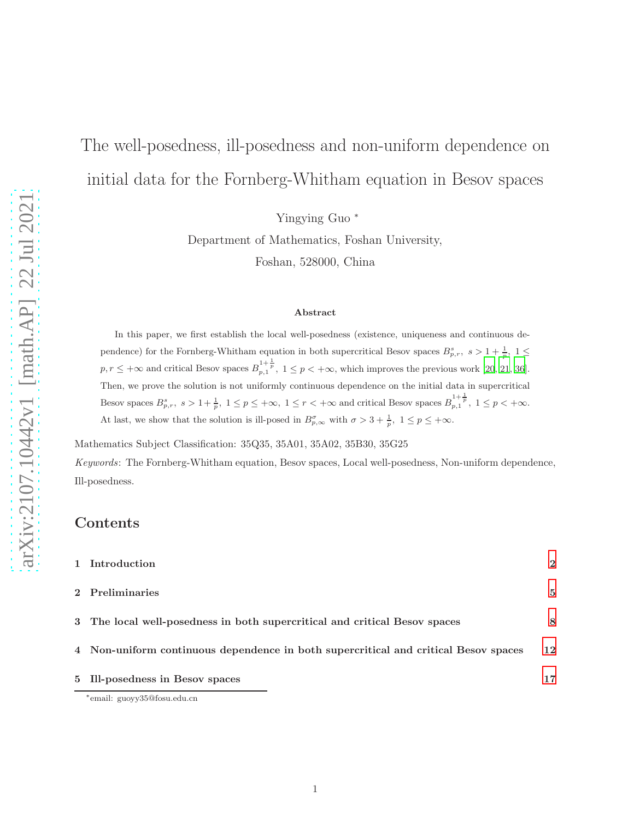# The well-posedness, ill-posedness and non-uniform dependence on initial data for the Fornberg-Whitham equation in Besov spaces

Yingying Guo <sup>∗</sup>

Department of Mathematics, Foshan University, Foshan, 528000, China

### Abstract

In this paper, we first establish the local well-posedness (existence, uniqueness and continuous dependence) for the Fornberg-Whitham equation in both supercritical Besov spaces  $B_{p,r}^s$ ,  $s > 1 + \frac{1}{p}$ ,  $1 \leq$  $p, r \leq +\infty$  and critical Besov spaces  $B_{p,1}^{1+\frac{1}{p}}, 1 \leq p < +\infty$ , which improves the previous work [\[20](#page-21-0), [21](#page-21-1), [36\]](#page-22-0). Then, we prove the solution is not uniformly continuous dependence on the initial data in supercritical Besov spaces  $B_{p,r}^s$ ,  $s > 1 + \frac{1}{p}$ ,  $1 \le p \le +\infty$ ,  $1 \le r < +\infty$  and critical Besov spaces  $B_{p,1}^{1+\frac{1}{p}}$ ,  $1 \le p < +\infty$ . At last, we show that the solution is ill-posed in  $B_{p,\infty}^{\sigma}$  with  $\sigma > 3 + \frac{1}{p}, 1 \le p \le +\infty$ .

Mathematics Subject Classification: 35Q35, 35A01, 35A02, 35B30, 35G25 *Keywords*: The Fornberg-Whitham equation, Besov spaces, Local well-posedness, Non-uniform dependence, Ill-posedness.

### Contents

| 1 Introduction                                                                      | $\mathbf 2$ |
|-------------------------------------------------------------------------------------|-------------|
| 2 Preliminaries                                                                     | 5           |
| 3 The local well-posedness in both supercritical and critical Besov spaces          | 8           |
| 4 Non-uniform continuous dependence in both supercritical and critical Besov spaces | 12          |
| 5 Ill-posedness in Besov spaces                                                     | 17          |
| *email: guoyy35@fosu.edu.cn                                                         |             |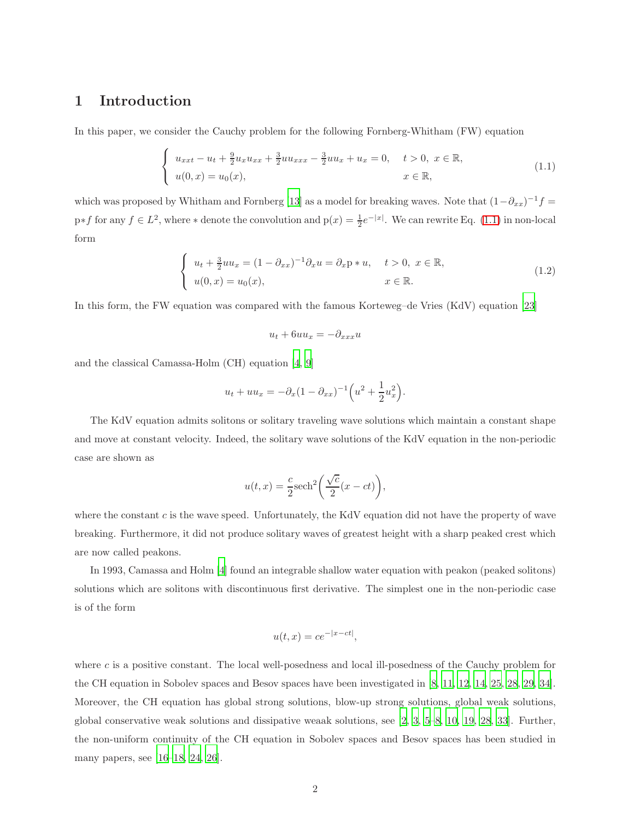### <span id="page-1-0"></span>1 Introduction

In this paper, we consider the Cauchy problem for the following Fornberg-Whitham (FW) equation

$$
\begin{cases}\nu_{xxt} - u_t + \frac{9}{2}u_x u_{xx} + \frac{3}{2}u u_{xxx} - \frac{3}{2}u u_x + u_x = 0, \quad t > 0, \ x \in \mathbb{R}, \\
u(0, x) = u_0(x), \quad x \in \mathbb{R},\n\end{cases}
$$
\n(1.1)

which was proposed by Whitham and Fornberg [\[13\]](#page-20-0) as a model for breaking waves. Note that  $(1-\partial_{xx})^{-1}f =$  $p*f$  for any  $f \in L^2$ , where  $*$  denote the convolution and  $p(x) = \frac{1}{2}e^{-|x|}$ . We can rewrite Eq. [\(1.1\)](#page-1-1) in non-local form

$$
\begin{cases}\n u_t + \frac{3}{2}uu_x = (1 - \partial_{xx})^{-1}\partial_x u = \partial_x p * u, & t > 0, \ x \in \mathbb{R}, \\
 u(0, x) = u_0(x), & x \in \mathbb{R}.\n\end{cases}
$$
\n(1.2)

In this form, the FW equation was compared with the famous Korteweg–de Vries (KdV) equation [\[23](#page-21-2)]

<span id="page-1-2"></span><span id="page-1-1"></span>
$$
u_t + 6uu_x = -\partial_{xxx}u
$$

and the classical Camassa-Holm (CH) equation [\[4,](#page-20-1) [9\]](#page-20-2)

$$
u_t + uu_x = -\partial_x (1 - \partial_{xx})^{-1} \left( u^2 + \frac{1}{2} u_x^2 \right).
$$

The KdV equation admits solitons or solitary traveling wave solutions which maintain a constant shape and move at constant velocity. Indeed, the solitary wave solutions of the KdV equation in the non-periodic case are shown as

$$
u(t,x) = \frac{c}{2}\mathrm{sech}^2\bigg(\frac{\sqrt{c}}{2}(x-ct)\bigg),\,
$$

where the constant  $c$  is the wave speed. Unfortunately, the KdV equation did not have the property of wave breaking. Furthermore, it did not produce solitary waves of greatest height with a sharp peaked crest which are now called peakons.

In 1993, Camassa and Holm [\[4\]](#page-20-1) found an integrable shallow water equation with peakon (peaked solitons) solutions which are solitons with discontinuous first derivative. The simplest one in the non-periodic case is of the form

$$
u(t,x) = ce^{-|x-ct|},
$$

where  $c$  is a positive constant. The local well-posedness and local ill-posedness of the Cauchy problem for the CH equation in Sobolev spaces and Besov spaces have been investigated in [\[8,](#page-20-3) [11,](#page-20-4) [12,](#page-20-5) [14,](#page-20-6) [25](#page-21-3), [28](#page-21-4), [29,](#page-21-5) [34](#page-22-1)]. Moreover, the CH equation has global strong solutions, blow-up strong solutions, global weak solutions, global conservative weak solutions and dissipative weaak solutions, see  $\left[2, 3, 5-8, 10, 19, 28, 33\right]$  $\left[2, 3, 5-8, 10, 19, 28, 33\right]$  $\left[2, 3, 5-8, 10, 19, 28, 33\right]$  $\left[2, 3, 5-8, 10, 19, 28, 33\right]$  $\left[2, 3, 5-8, 10, 19, 28, 33\right]$  $\left[2, 3, 5-8, 10, 19, 28, 33\right]$  $\left[2, 3, 5-8, 10, 19, 28, 33\right]$  $\left[2, 3, 5-8, 10, 19, 28, 33\right]$  $\left[2, 3, 5-8, 10, 19, 28, 33\right]$ . Further, the non-uniform continuity of the CH equation in Sobolev spaces and Besov spaces has been studied in many papers, see [\[16](#page-20-11)[–18,](#page-21-7) [24,](#page-21-8) [26\]](#page-21-9).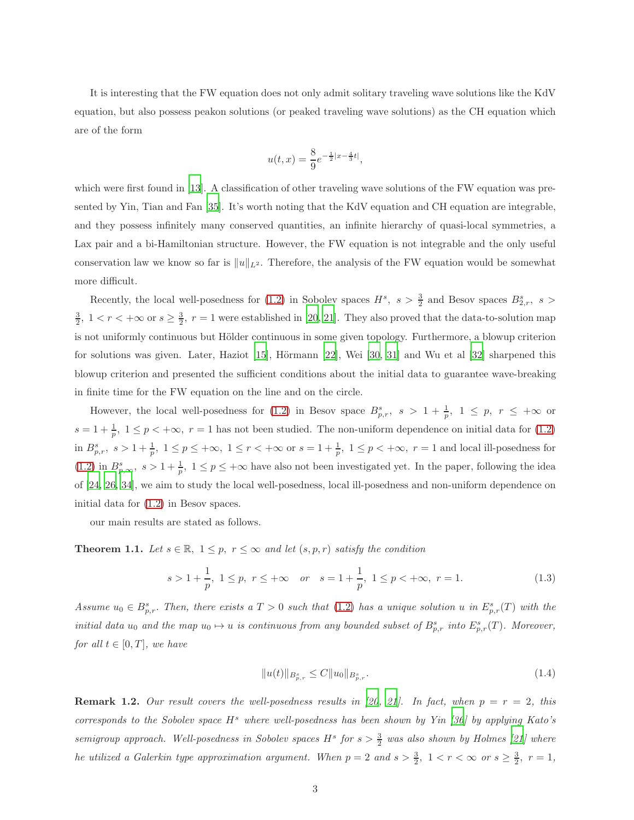It is interesting that the FW equation does not only admit solitary traveling wave solutions like the KdV equation, but also possess peakon solutions (or peaked traveling wave solutions) as the CH equation which are of the form

$$
u(t,x) = \frac{8}{9}e^{-\frac{1}{2}|x-\frac{4}{3}t|},
$$

which were first found in [\[13\]](#page-20-0). A classification of other traveling wave solutions of the FW equation was presented by Yin, Tian and Fan [\[35](#page-22-3)]. It's worth noting that the KdV equation and CH equation are integrable, and they possess infinitely many conserved quantities, an infinite hierarchy of quasi-local symmetries, a Lax pair and a bi-Hamiltonian structure. However, the FW equation is not integrable and the only useful conservation law we know so far is  $||u||_{L^2}$ . Therefore, the analysis of the FW equation would be somewhat more difficult.

Recently, the local well-posedness for [\(1.2\)](#page-1-2) in Sobolev spaces  $H^s$ ,  $s > \frac{3}{2}$  and Besov spaces  $B^s_{2,r}$ ,  $s >$  $\frac{3}{2}$ ,  $1 < r < +\infty$  or  $s \geq \frac{3}{2}$ ,  $r = 1$  were established in [\[20](#page-21-0), [21\]](#page-21-1). They also proved that the data-to-solution map is not uniformly continuous but Hölder continuous in some given topology. Furthermore, a blowup criterion for solutions was given. Later, Haziot [\[15](#page-20-12)], Hörmann [\[22](#page-21-10)], Wei [\[30](#page-21-11), [31\]](#page-21-12) and Wu et al [\[32](#page-22-4)] sharpened this blowup criterion and presented the sufficient conditions about the initial data to guarantee wave-breaking in finite time for the FW equation on the line and on the circle.

However, the local well-posedness for [\(1.2\)](#page-1-2) in Besov space  $B_{p,r}^s$ ,  $s > 1 + \frac{1}{p}$ ,  $1 \le p$ ,  $r \le +\infty$  or  $s = 1 + \frac{1}{p}, \ 1 \le p < +\infty, \ r = 1$  has not been studied. The non-uniform dependence on initial data for [\(1.2\)](#page-1-2) in  $B_{p,r}^s$ ,  $s > 1 + \frac{1}{p}$ ,  $1 \le p \le +\infty$ ,  $1 \le r < +\infty$  or  $s = 1 + \frac{1}{p}$ ,  $1 \le p < +\infty$ ,  $r = 1$  and local ill-posedness for [\(1.2\)](#page-1-2) in  $B_{p,\infty}^s$ ,  $s > 1 + \frac{1}{p}$ ,  $1 \le p \le +\infty$  have also not been investigated yet. In the paper, following the idea of [\[24,](#page-21-8) [26,](#page-21-9) [34](#page-22-1)], we aim to study the local well-posedness, local ill-posedness and non-uniform dependence on initial data for [\(1.2\)](#page-1-2) in Besov spaces.

our main results are stated as follows.

<span id="page-2-0"></span>**Theorem 1.1.** Let  $s \in \mathbb{R}$ ,  $1 \leq p$ ,  $r \leq \infty$  and let  $(s, p, r)$  satisfy the condition

$$
s > 1 + \frac{1}{p}, \ 1 \le p, \ r \le +\infty \quad or \quad s = 1 + \frac{1}{p}, \ 1 \le p < +\infty, \ r = 1.
$$
 (1.3)

*Assume*  $u_0 \in B_{p,r}^s$ . Then, there exists a  $T > 0$  such that [\(1.2\)](#page-1-2) has a unique solution u in  $E_{p,r}^s(T)$  with the *initial data*  $u_0$  *and the map*  $u_0 \mapsto u$  *is continuous from any bounded subset of*  $B^s_{p,r}$  *into*  $E^s_{p,r}(T)$ *. Moreover, for all*  $t \in [0, T]$ *, we have* 

$$
||u(t)||_{B_{p,r}^s} \le C||u_0||_{B_{p,r}^s}.
$$
\n(1.4)

**Remark 1.2.** Our result covers the well-posedness results in [\[20](#page-21-0), [21\]](#page-21-1). In fact, when  $p = r = 2$ , this *corresponds to the Sobolev space*  $H^s$  *where well-posedness has been shown by Yin* [\[36\]](#page-22-0) *by applying Kato's*  $s$ *emigroup approach.* Well-posedness in Sobolev spaces  $H^s$  for  $s > \frac{3}{2}$  was also shown by Holmes [\[21](#page-21-1)] where *he utilized a Galerkin type approximation argument. When*  $p = 2$  and  $s > \frac{3}{2}$ ,  $1 < r < \infty$  or  $s \geq \frac{3}{2}$ ,  $r = 1$ ,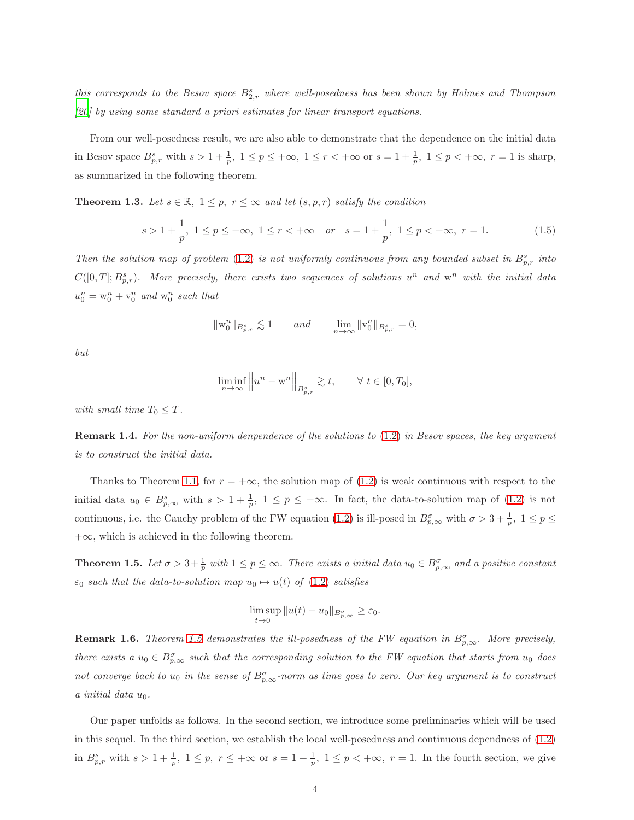this corresponds to the Besov space  $B_{2,r}^s$  where well-posedness has been shown by Holmes and Thompson *[\[20](#page-21-0)] by using some standard a priori estimates for linear transport equations.*

From our well-posedness result, we are also able to demonstrate that the dependence on the initial data in Besov space  $B_{p,r}^s$  with  $s > 1 + \frac{1}{p}$ ,  $1 \le p \le +\infty$ ,  $1 \le r < +\infty$  or  $s = 1 + \frac{1}{p}$ ,  $1 \le p < +\infty$ ,  $r = 1$  is sharp, as summarized in the following theorem.

<span id="page-3-2"></span>**Theorem 1.3.** Let  $s \in \mathbb{R}$ ,  $1 \leq p$ ,  $r \leq \infty$  and let  $(s, p, r)$  satisfy the condition

<span id="page-3-1"></span>
$$
s > 1 + \frac{1}{p}, \ 1 \le p \le +\infty, \ 1 \le r < +\infty \quad or \quad s = 1 + \frac{1}{p}, \ 1 \le p < +\infty, \ r = 1.
$$
 (1.5)

*Then the solution map of problem* [\(1.2\)](#page-1-2) *is not uniformly continuous from any bounded subset in*  $B_{p,r}^s$  *into*  $C([0,T]; B_{p,r}^s)$ . More precisely, there exists two sequences of solutions  $u^n$  and  $w^n$  with the initial data  $u_0^n = w_0^n + v_0^n$  and  $w_0^n$  such that

$$
\|\mathbf{w}_0^n\|_{B_{p,r}^s}\lesssim 1\qquad and \qquad \lim_{n\to\infty}\|\mathbf{v}_0^n\|_{B_{p,r}^s}=0,
$$

*but*

$$
\liminf_{n \to \infty} \left\| u^n - \mathbf{w}^n \right\|_{B^s_{p,r}} \gtrsim t, \qquad \forall \ t \in [0, T_0],
$$

*with small time*  $T_0 \leq T$ *.* 

Remark 1.4. *For the non-uniform denpendence of the solutions to* [\(1.2\)](#page-1-2) *in Besov spaces, the key argument is to construct the initial data.*

Thanks to Theorem [1.1,](#page-2-0) for  $r = +\infty$ , the solution map of [\(1.2\)](#page-1-2) is weak continuous with respect to the initial data  $u_0 \in B_{p,\infty}^s$  with  $s > 1 + \frac{1}{p}$ ,  $1 \le p \le +\infty$ . In fact, the data-to-solution map of [\(1.2\)](#page-1-2) is not continuous, i.e. the Cauchy problem of the FW equation [\(1.2\)](#page-1-2) is ill-posed in  $B_{p,\infty}^{\sigma}$  with  $\sigma > 3 + \frac{1}{p}$ ,  $1 \le p \le$  $+\infty$ , which is achieved in the following theorem.

<span id="page-3-0"></span>**Theorem 1.5.** Let  $\sigma > 3 + \frac{1}{p}$  with  $1 \le p \le \infty$ . There exists a initial data  $u_0 \in B^{\sigma}_{p,\infty}$  and a positive constant  $\varepsilon_0$  *such that the data-to-solution map*  $u_0 \mapsto u(t)$  *of* [\(1.2\)](#page-1-2) *satisfies* 

$$
\limsup_{t\to 0^+} \|u(t)-u_0\|_{B^\sigma_{p,\infty}}\geq \varepsilon_0.
$$

**Remark 1.6.** *Theorem* [1.5](#page-3-0) demonstrates the ill-posedness of the FW equation in  $B_{p,\infty}^{\sigma}$ . More precisely, *there exists a*  $u_0 \in B_{p,\infty}^{\sigma}$  *such that the corresponding solution to the FW equation that starts from*  $u_0$  *does* not converge back to  $u_0$  in the sense of  $B^{\sigma}_{p,\infty}$ -norm as time goes to zero. Our key argument is to construct  $a$  *initial* data  $u_0$ .

Our paper unfolds as follows. In the second section, we introduce some preliminaries which will be used in this sequel. In the third section, we establish the local well-posedness and continuous dependness of [\(1.2\)](#page-1-2) in  $B_{p,r}^s$  with  $s > 1 + \frac{1}{p}$ ,  $1 \le p$ ,  $r \le +\infty$  or  $s = 1 + \frac{1}{p}$ ,  $1 \le p < +\infty$ ,  $r = 1$ . In the fourth section, we give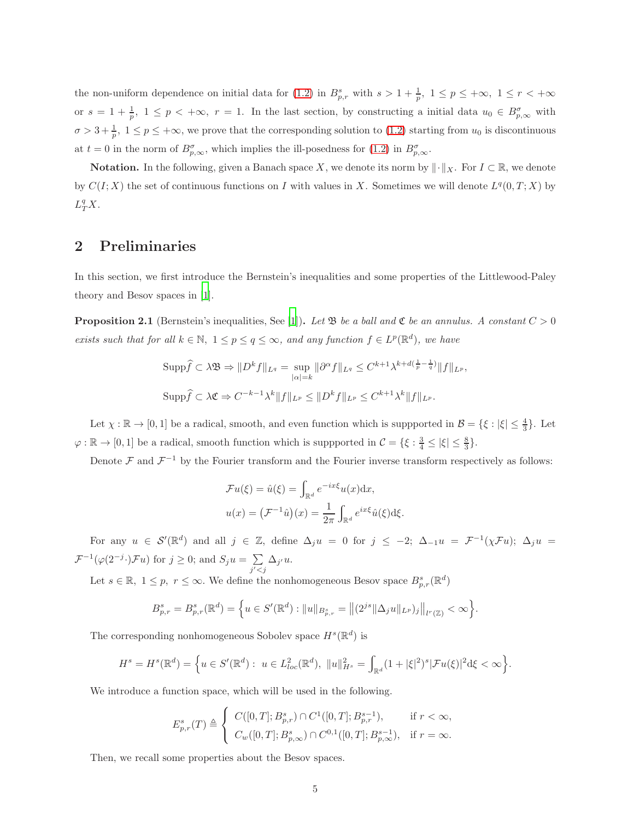the non-uniform dependence on initial data for [\(1.2\)](#page-1-2) in  $B_{p,r}^s$  with  $s > 1 + \frac{1}{p}$ ,  $1 \le p \le +\infty$ ,  $1 \le r < +\infty$ or  $s = 1 + \frac{1}{p}$ ,  $1 \le p < +\infty$ ,  $r = 1$ . In the last section, by constructing a initial data  $u_0 \in B^{\sigma}_{p,\infty}$  with  $\sigma > 3 + \frac{1}{p}$ ,  $1 \le p \le +\infty$ , we prove that the corresponding solution to [\(1.2\)](#page-1-2) starting from  $u_0$  is discontinuous at  $t = 0$  in the norm of  $B_{p,\infty}^{\sigma}$ , which implies the ill-posedness for  $(1.2)$  in  $B_{p,\infty}^{\sigma}$ .

**Notation.** In the following, given a Banach space X, we denote its norm by  $\|\cdot\|_X$ . For  $I \subset \mathbb{R}$ , we denote by  $C(I; X)$  the set of continuous functions on I with values in X. Sometimes we will denote  $L^q(0,T; X)$  by  $L^q_T X$ .

## <span id="page-4-0"></span>2 Preliminaries

In this section, we first introduce the Bernstein's inequalities and some properties of the Littlewood-Paley theory and Besov spaces in [\[1](#page-19-0)].

<span id="page-4-1"></span>**Proposition 2.1** (Bernstein's inequalities, See [\[1\]](#page-19-0)). Let  $\mathfrak{B}$  be a ball and  $\mathfrak{C}$  be an annulus. A constant  $C > 0$ *exists such that for all*  $k \in \mathbb{N}$ ,  $1 \leq p \leq q \leq \infty$ *, and any function*  $f \in L^p(\mathbb{R}^d)$ *, we have* 

$$
\text{Supp}\widehat{f} \subset \lambda \mathfrak{B} \Rightarrow \|D^k f\|_{L^q} = \sup_{|\alpha|=k} \|\partial^{\alpha} f\|_{L^q} \leq C^{k+1} \lambda^{k+d(\frac{1}{p}-\frac{1}{q})} \|f\|_{L^p},
$$
  

$$
\text{Supp}\widehat{f} \subset \lambda \mathfrak{C} \Rightarrow C^{-k-1} \lambda^k \|f\|_{L^p} \leq \|D^k f\|_{L^p} \leq C^{k+1} \lambda^k \|f\|_{L^p}.
$$

Let  $\chi : \mathbb{R} \to [0,1]$  be a radical, smooth, and even function which is suppported in  $\mathcal{B} = \{\xi : |\xi| \le \frac{4}{3}\}.$  Let  $\varphi : \mathbb{R} \to [0, 1]$  be a radical, smooth function which is suppported in  $\mathcal{C} = \{\xi : \frac{3}{4} \leq |\xi| \leq \frac{8}{3}\}.$ 

Denote  $\mathcal F$  and  $\mathcal F^{-1}$  by the Fourier transform and the Fourier inverse transform respectively as follows:

$$
\mathcal{F}u(\xi) = \hat{u}(\xi) = \int_{\mathbb{R}^d} e^{-ix\xi} u(x) dx,
$$
  

$$
u(x) = (\mathcal{F}^{-1}\hat{u})(x) = \frac{1}{2\pi} \int_{\mathbb{R}^d} e^{ix\xi} \hat{u}(\xi) d\xi.
$$

For any  $u \in \mathcal{S}'(\mathbb{R}^d)$  and all  $j \in \mathbb{Z}$ , define  $\Delta_j u = 0$  for  $j \le -2$ ;  $\Delta_{-1} u = \mathcal{F}^{-1}(\chi \mathcal{F}u)$ ;  $\Delta_j u =$  $\mathcal{F}^{-1}(\varphi(2^{-j}\cdot)\mathcal{F}u)$  for  $j\geq 0$ ; and  $S_ju=\sum_{i,j}$  $\sum_{j' < j} \Delta_{j'} u.$ 

Let  $s \in \mathbb{R}, 1 \leq p, r \leq \infty$ . We define the nonhomogeneous Besov space  $B^s_{p,r}(\mathbb{R}^d)$ 

$$
B_{p,r}^s = B_{p,r}^s(\mathbb{R}^d) = \left\{ u \in S'(\mathbb{R}^d) : ||u||_{B_{p,r}^s} = ||(2^{js}||\Delta_j u||_{L^p})_j||_{l^r(\mathbb{Z})} < \infty \right\}.
$$

The corresponding nonhomogeneous Sobolev space  $H<sup>s</sup>(\mathbb{R}^d)$  is

$$
H^s = H^s(\mathbb{R}^d) = \left\{ u \in S'(\mathbb{R}^d) : \ u \in L^2_{loc}(\mathbb{R}^d), \ \|u\|_{H^s}^2 = \int_{\mathbb{R}^d} (1 + |\xi|^2)^s |\mathcal{F}u(\xi)|^2 d\xi < \infty \right\}.
$$

We introduce a function space, which will be used in the following.

$$
E_{p,r}^s(T) \triangleq \left\{ \begin{array}{ll} C([0,T];B_{p,r}^s)\cap C^1([0,T];B_{p,r}^{s-1}), & \text{if } r<\infty, \\[0.2cm] C_w([0,T];B_{p,\infty}^s)\cap C^{0,1}([0,T];B_{p,\infty}^{s-1}), & \text{if } r=\infty. \end{array} \right.
$$

Then, we recall some properties about the Besov spaces.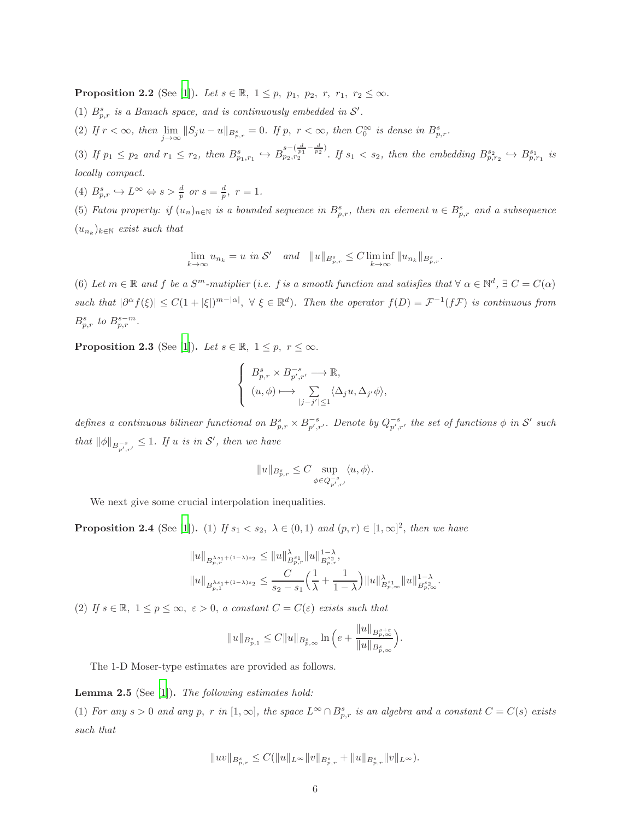<span id="page-5-2"></span>**Proposition 2.2** (See [\[1\]](#page-19-0)). *Let*  $s \in \mathbb{R}$ ,  $1 \leq p$ ,  $p_1$ ,  $p_2$ ,  $r$ ,  $r_1$ ,  $r_2 \leq \infty$ .

(1)  $B_{p,r}^s$  *is a Banach space, and is continuously embedded in*  $S'$ *.* 

(2) If  $r < \infty$ , then  $\lim_{j \to \infty} ||S_j u - u||_{B_{p,r}^s} = 0$ . If p,  $r < \infty$ , then  $C_0^{\infty}$  is dense in  $B_{p,r}^s$ .

(3) If  $p_1 \leq p_2$  and  $r_1 \leq r_2$ , then  $B^{s}_{p_1,r_1} \hookrightarrow B^{s-(\frac{d}{p_1}-\frac{d}{p_2})}_{p_2,r_2}$  $\sum_{p_2, r_2}^{s-(\frac{p_1}{p_1}-\frac{p_2}{p_2})}$ . If  $s_1 < s_2$ , then the embedding  $B^{s_2}_{p,r_2} \hookrightarrow B^{s_1}_{p,r_1}$  is *locally compact.*

(4)  $B_{p,r}^s \hookrightarrow L^{\infty} \Leftrightarrow s > \frac{d}{p}$  or  $s = \frac{d}{p}$ ,  $r = 1$ .

(5) *Fatou property: if*  $(u_n)_{n\in\mathbb{N}}$  *is a bounded sequence in*  $B_{p,r}^s$ *, then an element*  $u \in B_{p,r}^s$  *and a subsequence*  $(u_{n_k})_{k \in \mathbb{N}}$  *exist such that* 

$$
\lim_{k \to \infty} u_{n_k} = u \text{ in } \mathcal{S}' \quad \text{and} \quad ||u||_{B^s_{p,r}} \leq C \liminf_{k \to \infty} ||u_{n_k}||_{B^s_{p,r}}.
$$

(6) Let  $m \in \mathbb{R}$  and  $f$  be a  $S^m$ -mutiplier (*i.e.*  $f$  is a smooth function and satisfies that  $\forall \alpha \in \mathbb{N}^d$ ,  $\exists C = C(\alpha)$  $\text{such that } |\partial^{\alpha} f(\xi)| \leq C(1+|\xi|)^{m-|\alpha|}, \forall \xi \in \mathbb{R}^d$ . Then the operator  $f(D) = \mathcal{F}^{-1}(f\mathcal{F})$  is continuous from  $B_{p,r}^s$  to  $B_{p,r}^{s-m}$ .

<span id="page-5-1"></span>**Proposition 2.3** (See [\[1\]](#page-19-0)). *Let*  $s \in \mathbb{R}$ ,  $1 \leq p$ ,  $r \leq \infty$ .

$$
\left\{ \begin{array}{l} B^{s}_{p,r} \times B^{-s}_{p',r'} \longrightarrow \mathbb{R}, \\[1mm] (u,\phi) \longmapsto \sum\limits_{|j-j'|\leq 1} \langle \Delta_j u, \Delta_{j'} \phi \rangle, \end{array} \right.
$$

defines a continuous bilinear functional on  $B_{p,r}^s \times B_{p',r'}^{-s}$ . Denote by  $Q_{p',r'}^{-s}$  the set of functions  $\phi$  in  $\mathcal{S}'$  such *that*  $\|\phi\|_{B^{-s}_{p',r'}} \leq 1$ *. If u is in S', then we have* 

$$
||u||_{B_{p,r}^s} \leq C \sup_{\phi \in Q_{p',r'}^{-s}} \langle u, \phi \rangle.
$$

We next give some crucial interpolation inequalities.

**Proposition 2.4** (See [\[1\]](#page-19-0)). (1) *If*  $s_1 < s_2$ ,  $\lambda \in (0,1)$  *and*  $(p,r) \in [1,\infty]^2$ , *then we have* 

$$
||u||_{B^{ \lambda s_{1}+(1-\lambda)s_{2}}_{p,r}}\leq ||u||^{ \lambda}_{B^{s_{1}}_{p,r}}||u||^{1-\lambda}_{B^{s_{2}}_{p,r}},
$$
  

$$
||u||_{B^{ \lambda s_{1}+(1-\lambda)s_{2}}_{p,1}}\leq \frac{C}{s_{2}-s_{1}}\Big(\frac{1}{\lambda}+\frac{1}{1-\lambda}\Big)||u||^{\lambda}_{B^{s_{1}}_{p,\infty}}||u||^{1-\lambda}_{B^{s_{2}}_{p,\infty}}.
$$

(2) If  $s \in \mathbb{R}$ ,  $1 \leq p \leq \infty$ ,  $\varepsilon > 0$ , *a constant*  $C = C(\varepsilon)$  *exists such that* 

$$
||u||_{B_{p,1}^s} \leq C||u||_{B_{p,\infty}^s} \ln \Big(e + \frac{||u||_{B_{p,\infty}^{s+\varepsilon}}}{||u||_{B_{p,\infty}^s}}\Big).
$$

The 1-D Moser-type estimates are provided as follows.

#### <span id="page-5-0"></span>Lemma 2.5 (See [\[1](#page-19-0)]). *The following estimates hold:*

(1) For any  $s > 0$  and any  $p$ ,  $r$  in  $[1, \infty]$ , the space  $L^{\infty} \cap B_{p,r}^{s}$  is an algebra and a constant  $C = C(s)$  exists *such that*

$$
||uv||_{B_{p,r}^s} \leq C(||u||_{L^{\infty}}||v||_{B_{p,r}^s} + ||u||_{B_{p,r}^s}||v||_{L^{\infty}}).
$$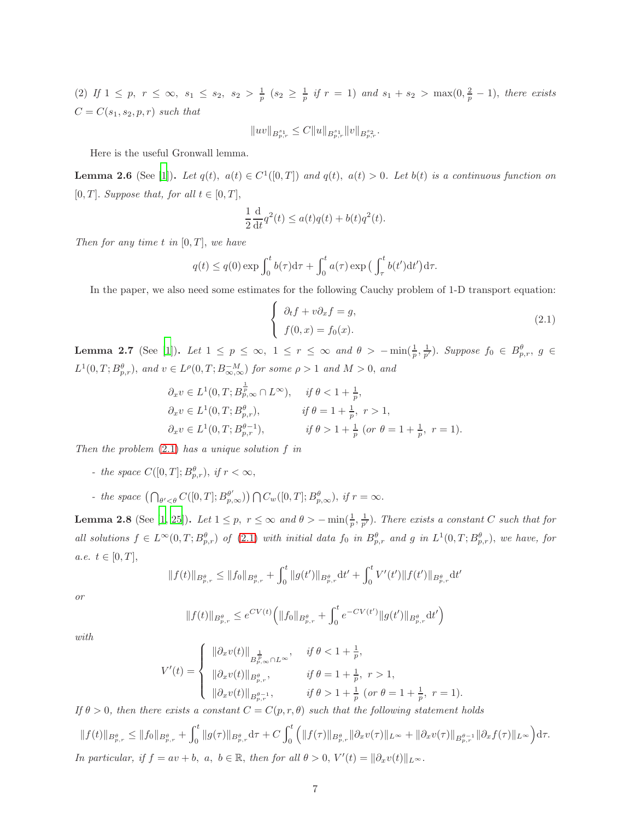(2) If  $1 \leq p, r \leq \infty$ ,  $s_1 \leq s_2$ ,  $s_2 > \frac{1}{p}$   $(s_2 \geq \frac{1}{p}$  if  $r = 1)$  and  $s_1 + s_2 > \max(0, \frac{2}{p} - 1)$ , there exists  $C = C(s_1, s_2, p, r)$  *such that* 

$$
||uv||_{B^{s_1}_{p,r}} \leq C||u||_{B^{s_1}_{p,r}}||v||_{B^{s_2}_{p,r}}.
$$

Here is the useful Gronwall lemma.

**Lemma 2.6** (See [\[1\]](#page-19-0)). Let  $q(t)$ ,  $a(t) \in C^1([0, T])$  and  $q(t)$ ,  $a(t) > 0$ . Let  $b(t)$  is a continuous function on [0, T]. *Suppose that, for all*  $t \in [0, T]$ ,

$$
\frac{1}{2}\frac{\mathrm{d}}{\mathrm{d}t}q^2(t) \le a(t)q(t) + b(t)q^2(t).
$$

*Then for any time t in*  $[0, T]$ *, we have* 

$$
q(t) \le q(0) \exp \int_0^t b(\tau) d\tau + \int_0^t a(\tau) \exp \left( \int_\tau^t b(t') dt' \right) d\tau.
$$

In the paper, we also need some estimates for the following Cauchy problem of 1-D transport equation:

<span id="page-6-0"></span>
$$
\begin{cases}\n\partial_t f + v \partial_x f = g, \\
f(0, x) = f_0(x).\n\end{cases}
$$
\n(2.1)

<span id="page-6-1"></span>**Lemma 2.7** (See [\[1\]](#page-19-0)). Let  $1 \leq p \leq \infty$ ,  $1 \leq r \leq \infty$  and  $\theta > -\min(\frac{1}{p}, \frac{1}{p'})$ . Suppose  $f_0 \in B_{p,r}^{\theta}$ ,  $g \in$  $L^1(0,T; B^{\theta}_{p,r})$ , and  $v \in L^{\rho}(0,T; B^{-M}_{\infty,\infty})$  for some  $\rho > 1$  and  $M > 0$ , and

$$
\partial_x v \in L^1(0, T; B_{p,\infty}^{\frac{1}{p}} \cap L^{\infty}), \quad \text{if } \theta < 1 + \frac{1}{p},
$$
  
\n
$$
\partial_x v \in L^1(0, T; B_{p,r}^{\theta}), \quad \text{if } \theta = 1 + \frac{1}{p}, r > 1,
$$
  
\n
$$
\partial_x v \in L^1(0, T; B_{p,r}^{\theta - 1}), \quad \text{if } \theta > 1 + \frac{1}{p} \text{ (or } \theta = 1 + \frac{1}{p}, r = 1).
$$

*Then the problem* [\(2.1\)](#page-6-0) *has a unique solution* f *in*

- *the space*  $C([0,T]; B_{p,r}^{\theta})$ , *if*  $r < \infty$ ,
- *the space*  $\left(\bigcap_{\theta' < \theta} C([0,T]; B^{\theta'}_{p,\infty})\right) \bigcap C_w([0,T]; B^{\theta}_{p,\infty}), \text{ if } r = \infty.$

<span id="page-6-2"></span>**Lemma 2.8** (See [\[1,](#page-19-0) [25\]](#page-21-3)). Let  $1 \leq p$ ,  $r \leq \infty$  and  $\theta > -\min(\frac{1}{p}, \frac{1}{p'})$ . There exists a constant C such that for *all solutions*  $f \in L^{\infty}(0,T; B^{\theta}_{p,r})$  of [\(2.1\)](#page-6-0) *with initial data*  $f_0$  *in*  $B^{\theta}_{p,r}$  *and*  $g$  *in*  $L^1(0,T; B^{\theta}_{p,r})$ *, we have, for a.e.*  $t \in [0, T],$ 

$$
||f(t)||_{B_{p,r}^{\theta}} \leq ||f_0||_{B_{p,r}^{\theta}} + \int_0^t ||g(t')||_{B_{p,r}^{\theta}} dt' + \int_0^t V'(t')||f(t')||_{B_{p,r}^{\theta}} dt'
$$

*or*

$$
||f(t)||_{B_{p,r}^{\theta}} \leq e^{CV(t)} \left( ||f_0||_{B_{p,r}^{\theta}} + \int_0^t e^{-CV(t')} ||g(t')||_{B_{p,r}^{\theta}} dt' \right)
$$

*with*

$$
V'(t) = \begin{cases} \|\partial_x v(t)\|_{B^{\frac{1}{p}}_{p,\infty} \cap L^{\infty}}, & \text{if } \theta < 1 + \frac{1}{p}, \\ \|\partial_x v(t)\|_{B^{\theta}_{p,r}}, & \text{if } \theta = 1 + \frac{1}{p}, \ r > 1, \\ \|\partial_x v(t)\|_{B^{\theta-1}_{p,r}}, & \text{if } \theta > 1 + \frac{1}{p} \ (or \ \theta = 1 + \frac{1}{p}, \ r = 1). \end{cases}
$$

*If*  $\theta > 0$ *, then there exists a constant*  $C = C(p, r, \theta)$  *such that the following statement holds* 

$$
||f(t)||_{B_{p,r}^{\theta}} \leq ||f_0||_{B_{p,r}^{\theta}} + \int_0^t ||g(\tau)||_{B_{p,r}^{\theta}} d\tau + C \int_0^t \left( ||f(\tau)||_{B_{p,r}^{\theta}} ||\partial_x v(\tau)||_{L^{\infty}} + ||\partial_x v(\tau)||_{B_{p,r}^{\theta-1}} ||\partial_x f(\tau)||_{L^{\infty}} \right) d\tau.
$$
  
In particular, if  $f = av + b$ ,  $a, b \in \mathbb{R}$ , then for all  $\theta > 0$ ,  $V'(t) = ||\partial_x v(t)||_{L^{\infty}}$ .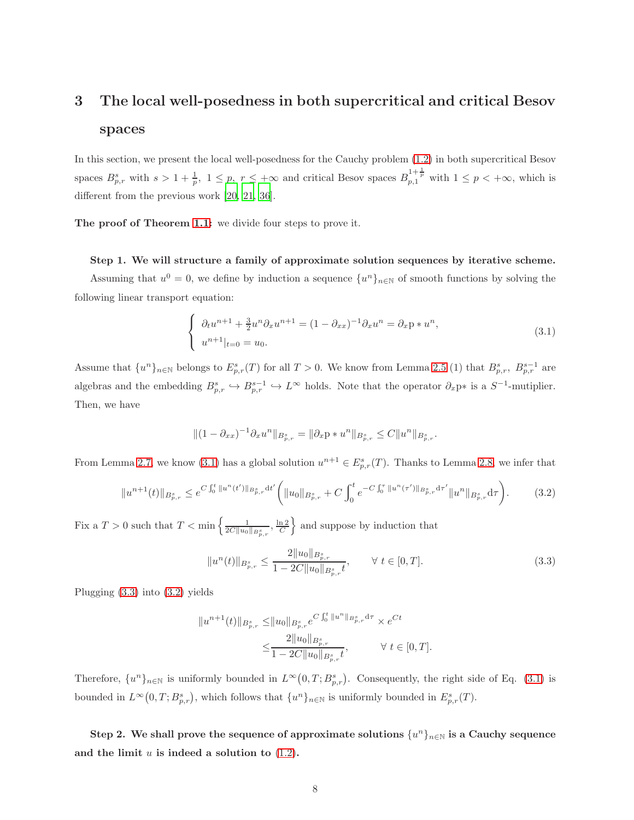## <span id="page-7-0"></span>3 The local well-posedness in both supercritical and critical Besov spaces

In this section, we present the local well-posedness for the Cauchy problem [\(1.2\)](#page-1-2) in both supercritical Besov spaces  $B_{p,r}^s$  with  $s > 1 + \frac{1}{p}$ ,  $1 \leq p$ ,  $r \leq +\infty$  and critical Besov spaces  $B_{p,1}^{1+\frac{1}{p}}$  with  $1 \leq p < +\infty$ , which is different from the previous work [\[20,](#page-21-0) [21,](#page-21-1) [36\]](#page-22-0).

The proof of Theorem [1.1:](#page-2-0) we divide four steps to prove it.

Step 1. We will structure a family of approximate solution sequences by iterative scheme. Assuming that  $u^0 = 0$ , we define by induction a sequence  $\{u^n\}_{n\in\mathbb{N}}$  of smooth functions by solving the following linear transport equation:

<span id="page-7-1"></span>
$$
\begin{cases} \partial_t u^{n+1} + \frac{3}{2} u^n \partial_x u^{n+1} = (1 - \partial_{xx})^{-1} \partial_x u^n = \partial_x \mathbf{p} * u^n, \\ u^{n+1} |_{t=0} = u_0. \end{cases} \tag{3.1}
$$

Assume that  $\{u^n\}_{n\in\mathbb{N}}$  belongs to  $E^s_{p,r}(T)$  for all  $T>0$ . We know from Lemma [2.5](#page-5-0) (1) that  $B^s_{p,r}$ ,  $B^{s-1}_{p,r}$  are algebras and the embedding  $B_{p,r}^s \hookrightarrow B_{p,r}^{s-1} \hookrightarrow L^\infty$  holds. Note that the operator  $\partial_x p^*$  is a  $S^{-1}$ -mutiplier. Then, we have

$$
||(1 - \partial_{xx})^{-1}\partial_x u^n||_{B^s_{p,r}} = ||\partial_x p * u^n||_{B^s_{p,r}} \leq C||u^n||_{B^s_{p,r}}.
$$

From Lemma [2.7,](#page-6-1) we know [\(3.1\)](#page-7-1) has a global solution  $u^{n+1} \in E_{p,r}^s(T)$ . Thanks to Lemma [2.8,](#page-6-2) we infer that

$$
||u^{n+1}(t)||_{B_{p,r}^s} \leq e^{C\int_0^t ||u^n(t')||_{B_{p,r}^s}dt'} \bigg(||u_0||_{B_{p,r}^s} + C\int_0^t e^{-C\int_0^\tau ||u^n(\tau')||_{B_{p,r}^s}d\tau'} ||u^n||_{B_{p,r}^s}d\tau\bigg).
$$
 (3.2)

Fix a  $T > 0$  such that  $T < \min \left\{ \frac{1}{2C \Vert u_0 \Vert_{B^s_{p,r}}}, \frac{\ln 2}{C} \right\}$ } and suppose by induction that

<span id="page-7-3"></span><span id="page-7-2"></span>
$$
||u^n(t)||_{B_{p,r}^s} \le \frac{2||u_0||_{B_{p,r}^s}}{1 - 2C||u_0||_{B_{p,r}^s}t}, \qquad \forall \ t \in [0, T].
$$
\n(3.3)

Plugging [\(3.3\)](#page-7-2) into [\(3.2\)](#page-7-3) yields

$$
||u^{n+1}(t)||_{B_{p,r}^s} \leq ||u_0||_{B_{p,r}^s} e^{C \int_0^t ||u^n||_{B_{p,r}^s} d\tau} \times e^{Ct}
$$
  

$$
\leq \frac{2||u_0||_{B_{p,r}^s}}{1 - 2C||u_0||_{B_{p,r}^s} t}, \qquad \forall t \in [0, T].
$$

Therefore,  $\{u^n\}_{n\in\mathbb{N}}$  is uniformly bounded in  $L^{\infty}(0,T;B^s_{p,r})$ . Consequently, the right side of Eq. [\(3.1\)](#page-7-1) is bounded in  $L^{\infty}(0,T;B^s_{p,r})$ , which follows that  $\{u^n\}_{n\in\mathbb{N}}$  is uniformly bounded in  $E^s_{p,r}(T)$ .

Step 2. We shall prove the sequence of approximate solutions  $\{u^n\}_{n\in\mathbb{N}}$  is a Cauchy sequence and the limit  $u$  is indeed a solution to  $(1.2)$ .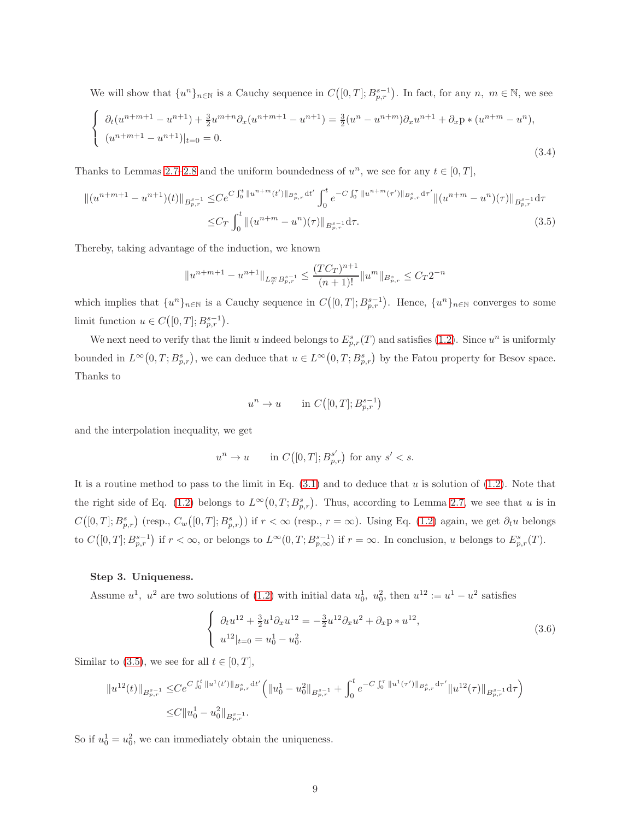We will show that  $\{u^n\}_{n\in\mathbb{N}}$  is a Cauchy sequence in  $C([0,T]; B^{s-1}_{p,r})$ . In fact, for any  $n, m \in \mathbb{N}$ , we see

$$
\begin{cases} \partial_t(u^{n+m+1} - u^{n+1}) + \frac{3}{2}u^{m+n}\partial_x(u^{n+m+1} - u^{n+1}) = \frac{3}{2}(u^n - u^{n+m})\partial_x u^{n+1} + \partial_x p * (u^{n+m} - u^n), \\ (u^{n+m+1} - u^{n+1})|_{t=0} = 0. \end{cases}
$$
\n(3.4)

Thanks to Lemmas [2.7](#page-6-1)[–2.8](#page-6-2) and the uniform boundedness of  $u^n$ , we see for any  $t \in [0, T]$ ,

$$
\|(u^{n+m+1} - u^{n+1})(t)\|_{B^{s-1}_{p,r}} \leq C e^{C \int_0^t \|u^{n+m}(t')\|_{B^s_{p,r}} dt'} \int_0^t e^{-C \int_0^{\tau} \|u^{n+m}(\tau')\|_{B^s_{p,r}} d\tau'} \|(u^{n+m} - u^n)(\tau)\|_{B^{s-1}_{p,r}} d\tau
$$
  

$$
\leq C_T \int_0^t \|(u^{n+m} - u^n)(\tau)\|_{B^{s-1}_{p,r}} d\tau.
$$
 (3.5)

Thereby, taking advantage of the induction, we known

$$
||u^{n+m+1}-u^{n+1}||_{L^\infty_T B^{s-1}_{p,r}}\leq \frac{(TC_T)^{n+1}}{(n+1)!}||u^m||_{B^{s}_{p,r}}\leq C_T 2^{-n}
$$

which implies that  $\{u^n\}_{n\in\mathbb{N}}$  is a Cauchy sequence in  $C([0,T];B^{s-1}_{p,r})$ . Hence,  $\{u^n\}_{n\in\mathbb{N}}$  converges to some limit function  $u \in C([0,T];B^{s-1}_{p,r}).$ 

We next need to verify that the limit u indeed belongs to  $E_{p,r}^s(T)$  and satisfies [\(1.2\)](#page-1-2). Since  $u^n$  is uniformly bounded in  $L^{\infty}(0,T;B^s_{p,r})$ , we can deduce that  $u \in L^{\infty}(0,T;B^s_{p,r})$  by the Fatou property for Besov space. Thanks to

<span id="page-8-0"></span>
$$
u^n \to u \qquad \text{in } C\big([0,T];B^{s-1}_{p,r}\big)
$$

and the interpolation inequality, we get

$$
u^n\to u\qquad\text{in }C\big([0,T];B_{p,r}^{s'}\big)\text{ for any }s'
$$

It is a routine method to pass to the limit in Eq. [\(3.1\)](#page-7-1) and to deduce that u is solution of [\(1.2\)](#page-1-2). Note that the right side of Eq. [\(1.2\)](#page-1-2) belongs to  $L^{\infty}(0,T;B_{p,r}^{s})$ . Thus, according to Lemma [2.7,](#page-6-1) we see that u is in  $C([0,T]; B^s_{p,r})$  (resp.,  $C_w([0,T]; B^s_{p,r})$ ) if  $r < \infty$  (resp.,  $r = \infty$ ). Using Eq. [\(1.2\)](#page-1-2) again, we get  $\partial_t u$  belongs to  $C([0,T]; B^{s-1}_{p,r})$  if  $r < \infty$ , or belongs to  $L^{\infty}(0,T; B^{s-1}_{p,\infty})$  if  $r = \infty$ . In conclusion, u belongs to  $E^{s}_{p,r}(T)$ .

### Step 3. Uniqueness.

Assume  $u^1$ ,  $u^2$  are two solutions of [\(1.2\)](#page-1-2) with initial data  $u_0^1$ ,  $u_0^2$ , then  $u^{12} := u^1 - u^2$  satisfies

$$
\begin{cases}\n\partial_t u^{12} + \frac{3}{2} u^1 \partial_x u^{12} = -\frac{3}{2} u^{12} \partial_x u^2 + \partial_x p * u^{12}, \\
u^{12}|_{t=0} = u_0^1 - u_0^2.\n\end{cases} (3.6)
$$

Similar to [\(3.5\)](#page-8-0), we see for all  $t \in [0, T]$ ,

$$
||u^{12}(t)||_{B^{s-1}_{p,r}} \leq Ce^{C\int_0^t ||u^1(t')||_{B^s_{p,r}} dt'} \Big(||u_0^1 - u_0^2||_{B^{s-1}_{p,r}} + \int_0^t e^{-C\int_0^{\tau} ||u^1(\tau')||_{B^s_{p,r}} d\tau'} ||u^{12}(\tau)||_{B^{s-1}_{p,r}} d\tau \Big)
$$
  

$$
\leq C||u_0^1 - u_0^2||_{B^{s-1}_{p,r}}.
$$

So if  $u_0^1 = u_0^2$ , we can immediately obtain the uniqueness.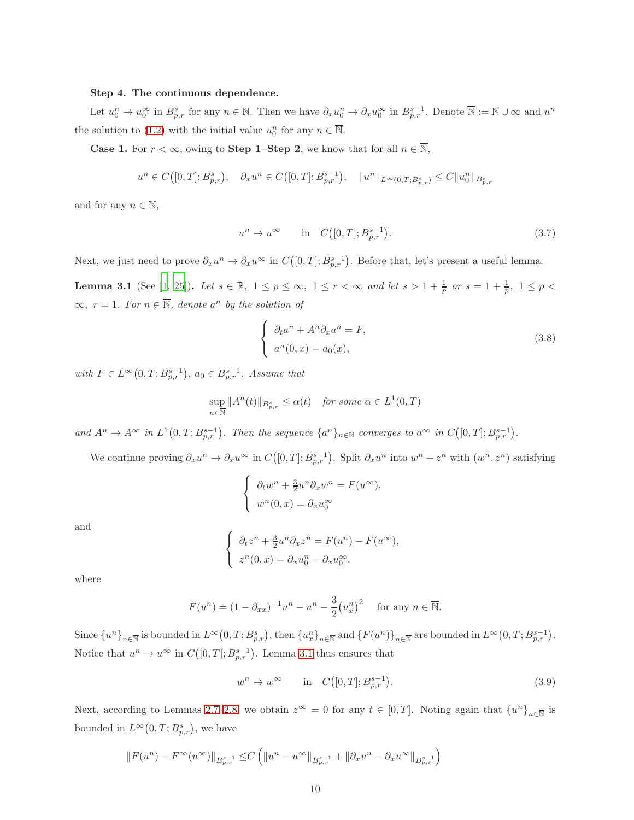#### Step 4. The continuous dependence.

Let  $u_0^n \to u_0^{\infty}$  in  $B_{p,r}^s$  for any  $n \in \mathbb{N}$ . Then we have  $\partial_x u_0^n \to \partial_x u_0^{\infty}$  in  $B_{p,r}^{s-1}$ . Denote  $\overline{\mathbb{N}} := \mathbb{N} \cup \infty$  and  $u^n$ the solution to [\(1.2\)](#page-1-2) with the initial value  $u_0^n$  for any  $n \in \overline{\mathbb{N}}$ .

**Case 1.** For  $r < \infty$ , owing to **Step 1–Step 2**, we know that for all  $n \in \overline{\mathbb{N}}$ ,

$$
u^{n} \in C([0,T]; B_{p,r}^{s}), \quad \partial_{x} u^{n} \in C([0,T]; B_{p,r}^{s-1}), \quad \|u^{n}\|_{L^{\infty}(0,T; B_{p,r}^{s})} \leq C \|u_{0}^{n}\|_{B_{p,r}^{s}}
$$

and for any  $n \in \mathbb{N}$ ,

$$
u^n \to u^\infty
$$
 in  $C([0, T]; B^{s-1}_{p,r}).$  (3.7)

Next, we just need to prove  $\partial_x u^n \to \partial_x u^\infty$  in  $C([0,T]; B^{s-1}_{p,r})$ . Before that, let's present a useful lemma.

<span id="page-9-0"></span>**Lemma 3.1** (See [\[1,](#page-19-0) [25](#page-21-3)]). Let  $s \in \mathbb{R}$ ,  $1 \le p \le \infty$ ,  $1 \le r < \infty$  and let  $s > 1 + \frac{1}{p}$  or  $s = 1 + \frac{1}{p}$ ,  $1 \le p <$  $\infty$ ,  $r = 1$ *. For*  $n \in \overline{\mathbb{N}}$ *, denote*  $a^n$  *by the solution of* 

<span id="page-9-1"></span>
$$
\begin{cases}\n\partial_t a^n + A^n \partial_x a^n = F, \\
a^n(0, x) = a_0(x),\n\end{cases}
$$
\n(3.8)

*with*  $F \in L^{\infty}(0,T; B^{s-1}_{p,r})$ ,  $a_0 \in B^{s-1}_{p,r}$ . Assume that

$$
\sup_{n \in \overline{\mathbb{N}}} \|A^n(t)\|_{B^s_{p,r}} \le \alpha(t) \quad \text{for some } \alpha \in L^1(0,T)
$$

 $and A<sup>n</sup> \to A<sup>\infty</sup>$  in  $L<sup>1</sup>(0,T;B<sub>p,r</sub><sup>s-1</sup>)$ . Then the sequence  $\{a<sup>n</sup>\}_{n\in\mathbb{N}}$  converges to  $a<sup>\infty</sup>$  in  $C([0,T];B<sub>p,r</sub><sup>s-1</sup>)$ .

We continue proving  $\partial_x u^n \to \partial_x u^\infty$  in  $C([0,T]; B^{s-1}_{p,r})$ . Split  $\partial_x u^n$  into  $w^n + z^n$  with  $(w^n, z^n)$  satisfying

$$
\begin{cases}\n\partial_t w^n + \frac{3}{2} u^n \partial_x w^n = F(u^\infty), \\
w^n(0, x) = \partial_x u_0^\infty\n\end{cases}
$$

and

$$
\begin{cases}\n\partial_t z^n + \frac{3}{2} u^n \partial_x z^n = F(u^n) - F(u^\infty), \\
z^n(0, x) = \partial_x u_0^n - \partial_x u_0^\infty.\n\end{cases}
$$

where

$$
F(u^n) = (1 - \partial_{xx})^{-1}u^n - u^n - \frac{3}{2}(u_x^n)^2
$$
 for any  $n \in \overline{\mathbb{N}}$ .

Since  ${u^n}_{n\in\mathbb{N}}$  is bounded in  $L^{\infty}(0,T;B^s_{p,r})$ , then  ${u^n_x}_{n\in\mathbb{N}}$  and  ${F(u^n)}_{n\in\mathbb{N}}$  are bounded in  $L^{\infty}(0,T;B^{s-1}_{p,r})$ . Notice that  $u^n \to u^{\infty}$  in  $C([0,T]; B^{s-1}_{p,r})$ . Lemma [3.1](#page-9-0) thus ensures that

$$
w^n \to w^\infty
$$
 in  $C([0,T]; B^{s-1}_{p,r}).$  (3.9)

Next, according to Lemmas [2.7](#page-6-1)[–2.8,](#page-6-2) we obtain  $z^{\infty} = 0$  for any  $t \in [0, T]$ . Noting again that  $\{u^{n}\}_{n \in \mathbb{N}}$  is bounded in  $L^{\infty}(0,T;B_{p,r}^{s}),$  we have

$$
||F(u^{n}) - F^{\infty}(u^{\infty})||_{B^{s-1}_{p,r}} \leq C \left( ||u^{n} - u^{\infty}||_{B^{s-1}_{p,r}} + ||\partial_x u^{n} - \partial_x u^{\infty}||_{B^{s-1}_{p,r}} \right)
$$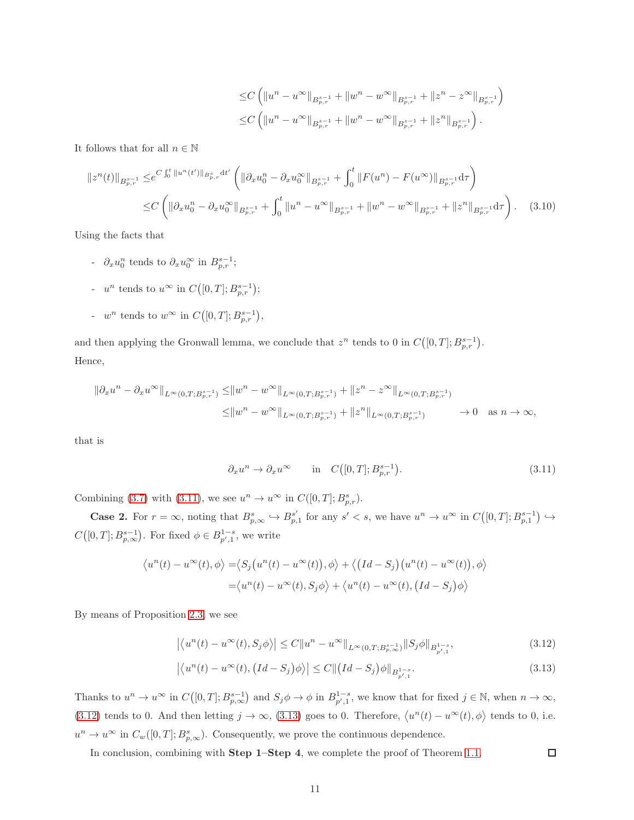$$
\leq C \left( \|u^n - u^\infty\|_{B^{s-1}_{p,r}} + \|w^n - w^\infty\|_{B^{s-1}_{p,r}} + \|z^n - z^\infty\|_{B^{s-1}_{p,r}} \right)
$$
  

$$
\leq C \left( \|u^n - u^\infty\|_{B^{s-1}_{p,r}} + \|w^n - w^\infty\|_{B^{s-1}_{p,r}} + \|z^n\|_{B^{s-1}_{p,r}} \right).
$$

It follows that for all  $n \in \mathbb{N}$ 

$$
||z^{n}(t)||_{B_{p,r}^{s-1}} \leq e^{C \int_0^t ||u^{n}(t')||_{B_{p,r}^s} dt'} \left( ||\partial_x u_0^n - \partial_x u_0^\infty||_{B_{p,r}^{s-1}} + \int_0^t ||F(u^n) - F(u^\infty)||_{B_{p,r}^{s-1}} d\tau \right)
$$
  

$$
\leq C \left( ||\partial_x u_0^n - \partial_x u_0^\infty||_{B_{p,r}^{s-1}} + \int_0^t ||u^n - u^\infty||_{B_{p,r}^{s-1}} + ||u^n - u^\infty||_{B_{p,r}^{s-1}} + ||z^n||_{B_{p,r}^{s-1}} d\tau \right). \tag{3.10}
$$

Using the facts that

- $\partial_x u_0^n$  tends to  $\partial_x u_0^\infty$  in  $B^{s-1}_{p,r}$ ;
- $u^n$  tends to  $u^{\infty}$  in  $C([0,T]; B^{s-1}_{p,r});$
- $w^n$  tends to  $w^{\infty}$  in  $C([0,T]; B^{s-1}_{p,r}),$

and then applying the Gronwall lemma, we conclude that  $z^n$  tends to 0 in  $C([0,T]; B^{s-1}_{p,r})$ . Hence,

$$
\|\partial_x u^n - \partial_x u^{\infty}\|_{L^{\infty}(0,T;B^{s-1}_{p,r})} \leq \|w^n - w^{\infty}\|_{L^{\infty}(0,T;B^{s-1}_{p,r})} + \|z^n - z^{\infty}\|_{L^{\infty}(0,T;B^{s-1}_{p,r})}
$$
  

$$
\leq \|w^n - w^{\infty}\|_{L^{\infty}(0,T;B^{s-1}_{p,r})} + \|z^n\|_{L^{\infty}(0,T;B^{s-1}_{p,r})} \to 0 \quad \text{as } n \to \infty,
$$

that is

$$
\partial_x u^n \to \partial_x u^\infty \qquad \text{in} \quad C([0, T]; B^{s-1}_{p,r}).\tag{3.11}
$$

Combining [\(3.7\)](#page-9-1) with [\(3.11\)](#page-10-0), we see  $u^n \to u^{\infty}$  in  $C([0, T]; B^s_{p,r}).$ 

**Case 2.** For  $r = \infty$ , noting that  $B_{p,\infty}^s \hookrightarrow B_{p,\infty}^{s'}$  $_{p,1}^{s'}$  for any  $s' < s$ , we have  $u^n \to u^{\infty}$  in  $C([0,T]; B^{s-1}_{p,1}) \hookrightarrow$  $C([0,T];B^{s-1}_{p,\infty})$ . For fixed  $\phi \in B^{1-s}_{p',1}$ , we write

$$
\langle u^n(t) - u^{\infty}(t), \phi \rangle = \langle S_j(u^n(t) - u^{\infty}(t)), \phi \rangle + \langle (Id - S_j)(u^n(t) - u^{\infty}(t)), \phi \rangle
$$
  

$$
= \langle u^n(t) - u^{\infty}(t), S_j \phi \rangle + \langle u^n(t) - u^{\infty}(t), (Id - S_j) \phi \rangle
$$

By means of Proposition [2.3,](#page-5-1) we see

$$
\left| \langle u^n(t) - u^\infty(t), S_j \phi \rangle \right| \le C \| u^n - u^\infty \|_{L^\infty(0,T; B^{s-1}_{p,\infty})} \| S_j \phi \|_{B^{1-s}_{p',1}}, \tag{3.12}
$$

$$
\left| \left\langle u^{n}(t) - u^{\infty}(t), \left( Id - S_{j} \right) \phi \right\rangle \right| \leq C \| \left( Id - S_{j} \right) \phi \|_{B^{1-s}_{p',1}}.
$$
\n(3.13)

<span id="page-10-2"></span><span id="page-10-1"></span><span id="page-10-0"></span> $\Box$ 

Thanks to  $u^n \to u^{\infty}$  in  $C([0,T]; B^{s-1}_{p,\infty})$  and  $S_j \phi \to \phi$  in  $B^{1-s}_{p',1}$ , we know that for fixed  $j \in \mathbb{N}$ , when  $n \to \infty$ , [\(3.12\)](#page-10-1) tends to 0. And then letting  $j \to \infty$ , [\(3.13\)](#page-10-2) goes to 0. Therefore,  $\langle u^n(t) - u^\infty(t), \phi \rangle$  tends to 0, i.e.  $u^n \to u^{\infty}$  in  $C_w([0,T]; B^s_{p,\infty})$ . Consequently, we prove the continuous dependence.

In conclusion, combining with Step 1–Step 4, we complete the proof of Theorem [1.1.](#page-2-0)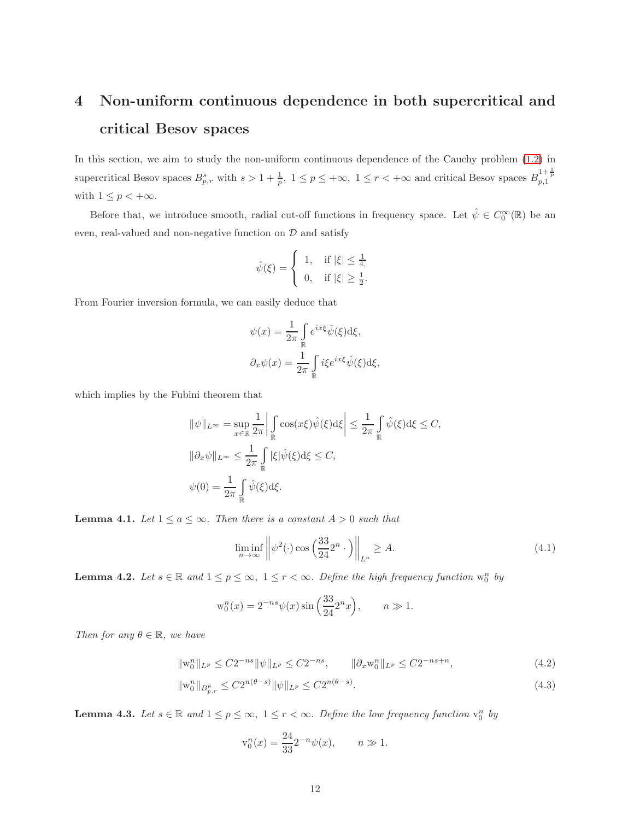## <span id="page-11-0"></span>4 Non-uniform continuous dependence in both supercritical and critical Besov spaces

In this section, we aim to study the non-uniform continuous dependence of the Cauchy problem [\(1.2\)](#page-1-2) in supercritical Besov spaces  $B_{p,r}^s$  with  $s > 1 + \frac{1}{p}$ ,  $1 \le p \le +\infty$ ,  $1 \le r < +\infty$  and critical Besov spaces  $B_{p,1}^{1+\frac{1}{p}}$ with  $1 \leq p < +\infty$ .

Before that, we introduce smooth, radial cut-off functions in frequency space. Let  $\hat{\psi} \in C_0^{\infty}(\mathbb{R})$  be an even, real-valued and non-negative function on  $D$  and satisfy

$$
\hat{\psi}(\xi) = \begin{cases} 1, & \text{if } |\xi| \le \frac{1}{4}, \\ 0, & \text{if } |\xi| \ge \frac{1}{2}. \end{cases}
$$

From Fourier inversion formula, we can easily deduce that

$$
\psi(x) = \frac{1}{2\pi} \int_{\mathbb{R}} e^{ix\xi} \hat{\psi}(\xi) d\xi,
$$
  

$$
\partial_x \psi(x) = \frac{1}{2\pi} \int_{\mathbb{R}} i\xi e^{ix\xi} \hat{\psi}(\xi) d\xi,
$$

which implies by the Fubini theorem that

$$
\begin{aligned} \|\psi\|_{L^\infty}&= \sup_{x\in\mathbb{R}}\frac{1}{2\pi}\bigg|\int\limits_{\mathbb{R}}\cos(x\xi)\hat{\psi}(\xi)\mathrm{d}\xi\bigg|\leq \frac{1}{2\pi}\int\limits_{\mathbb{R}}\hat{\psi}(\xi)\mathrm{d}\xi\leq C,\\ \|\partial_x\psi\|_{L^\infty}&\leq \frac{1}{2\pi}\int\limits_{\mathbb{R}}|\xi|\hat{\psi}(\xi)\mathrm{d}\xi\leq C,\\ \psi(0)&=\frac{1}{2\pi}\int\limits_{\mathbb{R}}\hat{\psi}(\xi)\mathrm{d}\xi. \end{aligned}
$$

**Lemma 4.1.** *Let*  $1 \le a \le \infty$ *. Then there is a constant*  $A > 0$  *such that* 

$$
\liminf_{n \to \infty} \left\| \psi^2(\cdot) \cos\left(\frac{33}{24} 2^n \cdot \right) \right\|_{L^a} \ge A. \tag{4.1}
$$

<span id="page-11-3"></span>**Lemma 4.2.** Let  $s \in \mathbb{R}$  and  $1 \leq p \leq \infty$ ,  $1 \leq r < \infty$ . Define the high frequency function  $w_0^n$  by

$$
w_0^n(x) = 2^{-ns} \psi(x) \sin\left(\frac{33}{24} 2^n x\right), \qquad n \gg 1.
$$

*Then for any*  $\theta \in \mathbb{R}$ *, we have* 

$$
\|\mathbf{w}_0^n\|_{L^p} \le C2^{-ns} \|\psi\|_{L^p} \le C2^{-ns}, \qquad \|\partial_x \mathbf{w}_0^n\|_{L^p} \le C2^{-ns+n}, \tag{4.2}
$$

$$
\|\mathbf{w}_{0}^{n}\|_{B_{p,r}^{\theta}} \le C2^{n(\theta-s)} \|\psi\|_{L^{p}} \le C2^{n(\theta-s)}.
$$
\n(4.3)

<span id="page-11-4"></span>**Lemma 4.3.** Let  $s \in \mathbb{R}$  and  $1 \leq p \leq \infty$ ,  $1 \leq r < \infty$ . Define the low frequency function  $v_0^n$  by

<span id="page-11-2"></span><span id="page-11-1"></span>
$$
v_0^n(x) = \frac{24}{33} 2^{-n} \psi(x), \qquad n \gg 1.
$$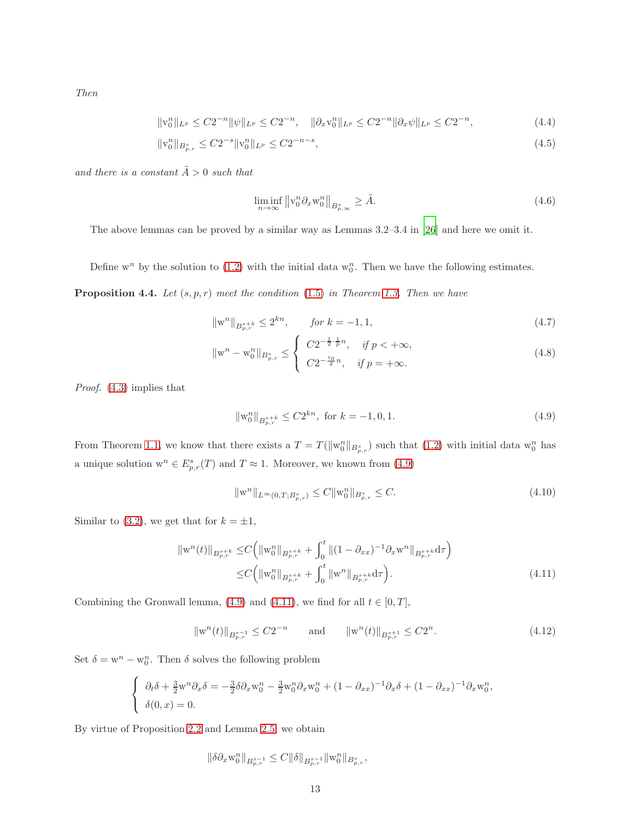*Then*

$$
\|v_0^n\|_{L^p} \le C2^{-n} \|\psi\|_{L^p} \le C2^{-n}, \quad \|\partial_x v_0^n\|_{L^p} \le C2^{-n} \|\partial_x \psi\|_{L^p} \le C2^{-n}, \tag{4.4}
$$

$$
\|\mathbf{v}_0^n\|_{B_{p,r}^s} \le C2^{-s} \|\mathbf{v}_0^n\|_{L^p} \le C2^{-n-s},\tag{4.5}
$$

 $and\ there\ is\ a\ constant\ \tilde{A} >0\ such\ that$ 

<span id="page-12-5"></span><span id="page-12-3"></span>
$$
\liminf_{n \to \infty} \left\| \mathbf{v}_0^n \partial_x \mathbf{w}_0^n \right\|_{B^s_{p,\infty}} \ge \tilde{A}.\tag{4.6}
$$

The above lemmas can be proved by a similar way as Lemmas 3.2–3.4 in [\[26\]](#page-21-9) and here we omit it.

Define  $w^n$  by the solution to [\(1.2\)](#page-1-2) with the initial data  $w_0^n$ . Then we have the following estimates.

<span id="page-12-2"></span>**Proposition 4.4.** Let  $(s, p, r)$  meet the condition  $(1.5)$  in Theorem [1.3.](#page-3-2) Then we have

$$
\|\mathbf{w}^n\|_{B^{s+k}_{p,r}} \le 2^{kn}, \qquad \text{for } k = -1, 1,
$$
\n
$$
(4.7)
$$

$$
\|\mathbf{w}^{n} - \mathbf{w}_{0}^{n}\|_{B_{p,r}^{s}} \leq \begin{cases} C2^{-\frac{1}{2}\cdot\frac{1}{p}n}, & \text{if } p < +\infty, \\ C2^{-\frac{\varepsilon_{0}}{2}n}, & \text{if } p = +\infty. \end{cases}
$$
(4.8)

*Proof.* [\(4.3\)](#page-11-1) implies that

<span id="page-12-4"></span><span id="page-12-0"></span>
$$
\|\mathbf{w}_0^n\|_{B^{s+k}_{p,r}} \le C2^{kn}, \text{ for } k = -1, 0, 1. \tag{4.9}
$$

From Theorem [1.1,](#page-2-0) we know that there exists a  $T = T(||w_0^n||_{B_{p,r}^s})$  such that  $(1.2)$  with initial data  $w_0^n$  has a unique solution  $\mathbf{w}^n \in E^s_{p,r}(T)$  and  $T \approx 1$ . Moreover, we known from [\(4.9\)](#page-12-0)

<span id="page-12-1"></span>
$$
\|w^n\|_{L^{\infty}(0,T;B^s_{p,r})} \le C \|w_0^n\|_{B^s_{p,r}} \le C. \tag{4.10}
$$

Similar to [\(3.2\)](#page-7-3), we get that for  $k = \pm 1$ ,

$$
\|w^{n}(t)\|_{B_{p,r}^{s+k}} \le C \Big( \|w_{0}^{n}\|_{B_{p,r}^{s+k}} + \int_{0}^{t} \|(1-\partial_{xx})^{-1}\partial_{x}w^{n}\|_{B_{p,r}^{s+k}} d\tau \Big) \le C \Big( \|w_{0}^{n}\|_{B_{p,r}^{s+k}} + \int_{0}^{t} \|w^{n}\|_{B_{p,r}^{s+k}} d\tau \Big). \tag{4.11}
$$

Combining the Gronwall lemma, [\(4.9\)](#page-12-0) and [\(4.11\)](#page-12-1), we find for all  $t \in [0, T]$ ,

$$
\|\mathbf{w}^{n}(t)\|_{B^{s-1}_{p,r}} \le C2^{-n} \qquad \text{and} \qquad \|\mathbf{w}^{n}(t)\|_{B^{s+1}_{p,r}} \le C2^{n}.\tag{4.12}
$$

Set  $\delta = w^n - w_0^n$ . Then  $\delta$  solves the following problem

$$
\begin{cases}\n\partial_t \delta + \frac{3}{2} w^n \partial_x \delta = -\frac{3}{2} \delta \partial_x w_0^n - \frac{3}{2} w_0^n \partial_x w_0^n + (1 - \partial_{xx})^{-1} \partial_x \delta + (1 - \partial_{xx})^{-1} \partial_x w_0^n, \\
\delta(0, x) = 0.\n\end{cases}
$$

By virtue of Proposition [2.2](#page-5-2) and Lemma [2.5,](#page-5-0) we obtain

$$
\|\delta \partial_x \mathbf{w}_0^n\|_{B^{s-1}_{p,r}}\leq C \|\delta\|_{B^{s-1}_{p,r}} \|\mathbf{w}_0^n\|_{B^{s}_{p,r}},
$$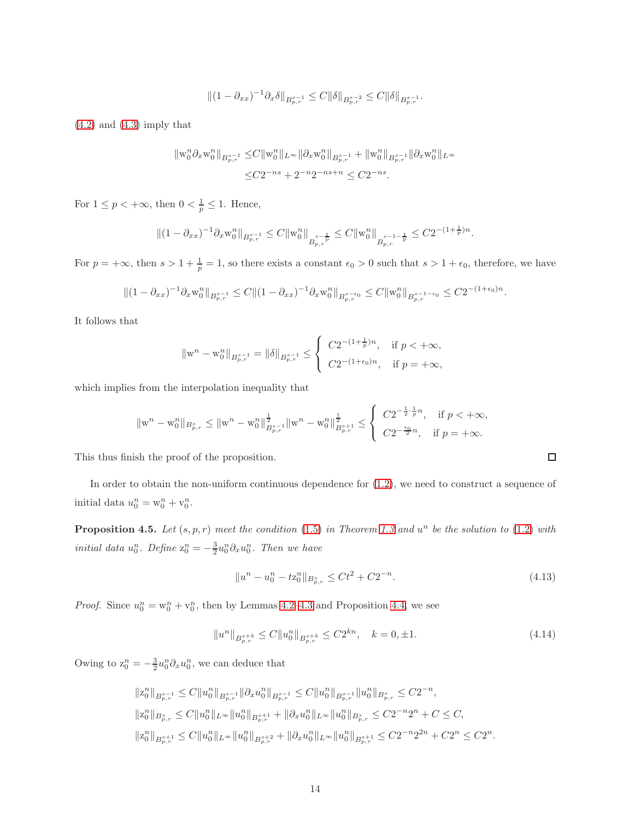$$
\|(1-\partial_{xx})^{-1}\partial_x \delta\|_{B^{s-1}_{p,r}} \leq C \|\delta\|_{B^{s-2}_{p,r}} \leq C \|\delta\|_{B^{s-1}_{p,r}}.
$$

 $(4.2)$  and  $(4.3)$  imply that

$$
\begin{aligned} \| \mathbf{w}_0^n \partial_x \mathbf{w}_0^n \|_{B^{s-1}_{p,r}} \leq & C \| \mathbf{w}_0^n \|_{L^\infty} \| \partial_x \mathbf{w}_0^n \|_{B^{s-1}_{p,r}} + \| \mathbf{w}_0^n \|_{B^{s-1}_{p,r}} \| \partial_x \mathbf{w}_0^n \|_{L^\infty} \\ \leq & C 2^{-ns} + 2^{-n} 2^{-ns+n} \leq C 2^{-ns} . \end{aligned}
$$

For  $1 \le p < +\infty$ , then  $0 < \frac{1}{p} \le 1$ . Hence,

$$
\|(1-\partial_{xx})^{-1}\partial_x\mathbf{w}_0^n\|_{B^{s-1}_{p,r}}\leq C\|\mathbf{w}_0^n\|_{B^{s-\frac{1}{p}}_{p,r}}\leq C\|\mathbf{w}_0^n\|_{B^{s-1-\frac{1}{p}}_{p,r}}\leq C2^{-(1+\frac{1}{p})n}.
$$

For  $p = +\infty$ , then  $s > 1 + \frac{1}{p} = 1$ , so there exists a constant  $\epsilon_0 > 0$  such that  $s > 1 + \epsilon_0$ , therefore, we have

$$
||(1-\partial_{xx})^{-1}\partial_x w_0^n||_{B^{s-1}_{p,r}} \leq C||(1-\partial_{xx})^{-1}\partial_x w_0^n||_{B^{s-\epsilon_0}_{p,r}} \leq C||w_0^n||_{B^{s-1-\epsilon_0}_{p,r}} \leq C2^{-(1+\epsilon_0)n}.
$$

It follows that

$$
\|{\bf w}^n-{\bf w}^n_0\|_{B^{s-1}_{p,r}}=\|\delta\|_{B^{s-1}_{p,r}}\leq \left\{\begin{array}{ll} C2^{-(1+\frac{1}{p})n},&\hbox{if $p<+\infty$,}\\ C2^{-(1+\epsilon_0)n},&\hbox{if $p=+\infty$,}\end{array}\right.
$$

which implies from the interpolation inequality that

$$
\|{\bf w}^n-{\bf w}^n_0\|_{{\cal B}^s_{p,r}}\leq \|{\bf w}^n-{\bf w}^n_0\|_{{\cal B}^{s-1}_{p,r}}^{\frac{1}{2}}\|{\bf w}^n-{\bf w}^n_0\|_{{\cal B}^{s+1}_{p,r}}^{\frac{1}{2}}\leq\left\{\begin{array}{ll}C2^{-\frac{1}{2}\cdot\frac{1}{p}n},&\hbox{ if }p<+\infty,\\C2^{-\frac{\epsilon_0}{2}n},&\hbox{ if }p=+\infty.\end{array}\right.
$$

This thus finish the proof of the proposition.

In order to obtain the non-uniform continuous dependence for [\(1.2\)](#page-1-2), we need to construct a sequence of initial data  $u_0^n = w_0^n + v_0^n$ .

**Proposition 4.5.** Let  $(s, p, r)$  meet the condition [\(1.5\)](#page-3-1) in Theorem [1.3](#page-3-2) and  $u^n$  be the solution to [\(1.2\)](#page-1-2) with *initial data*  $u_0^n$ *. Define*  $z_0^n = -\frac{3}{2}u_0^n \partial_x u_0^n$ *. Then we have* 

$$
||u^n - u_0^n - t z_0^n||_{B_{p,r}^s} \le C t^2 + C 2^{-n}.
$$
\n(4.13)

*Proof.* Since  $u_0^n = w_0^n + v_0^n$ , then by Lemmas [4.2](#page-11-3)[–4.3](#page-11-4) and Proposition [4.4,](#page-12-2) we see

$$
||u^n||_{B^{s+k}_{p,r}} \leq C||u_0^n||_{B^{s+k}_{p,r}} \leq C2^{kn}, \quad k = 0, \pm 1. \tag{4.14}
$$

Owing to  $z_0^n = -\frac{3}{2}u_0^n \partial_x u_0^n$ , we can deduce that

$$
\begin{split} &\|{\bf z}_0^n\|_{B^{s-1}_{p,r}}\le C\|u^n_0\|_{B^{s-1}_{p,r}}\|\partial_x u^n_0\|_{B^{s-1}_{p,r}}\le C\|u^n_0\|_{B^{s-1}_{p,r}}\|u^n_0\|_{B^{s}_{p,r}}\le C2^{-n},\\ &\|{\bf z}_0^n\|_{B^{s}_{p,r}}\le C\|u^n_0\|_{L^\infty}\|u^n_0\|_{B^{s+1}_{p,r}}+\|\partial_x u^n_0\|_{L^\infty}\|u^n_0\|_{B^{s}_{p,r}}\le C2^{-n}2^{n}+C\le C,\\ &\|{\bf z}_0^n\|_{B^{s+1}_{p,r}}\le C\|u^n_0\|_{L^\infty}\|u^n_0\|_{B^{s+2}_{p,r}}+\|\partial_x u^n_0\|_{L^\infty}\|u^n_0\|_{B^{s+1}_{p,r}}\le C2^{-n}2^{2n}+C2^{n}\le C2^{n}. \end{split}
$$

<span id="page-13-0"></span>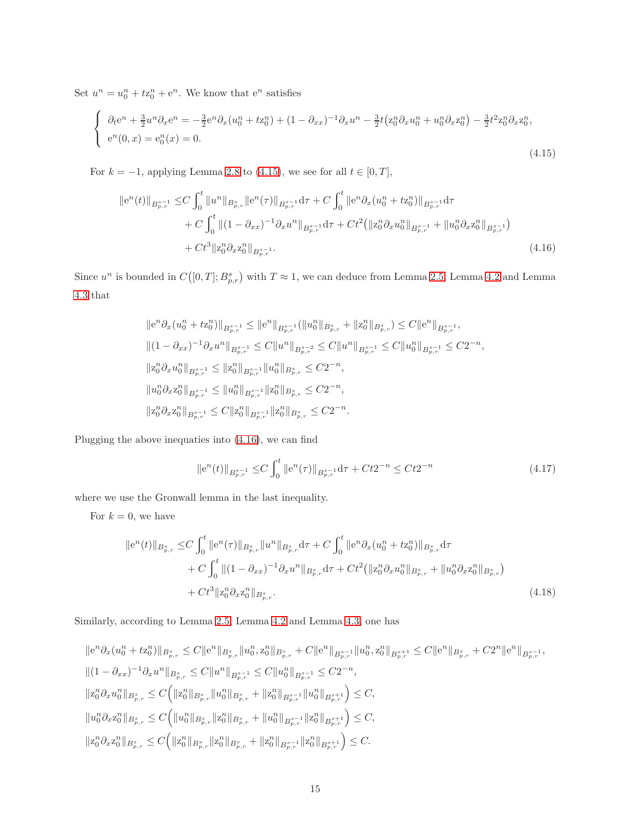Set  $u^n = u_0^n + t z_0^n + e^n$ . We know that  $e^n$  satisfies

<span id="page-14-0"></span>
$$
\begin{cases}\n\partial_t e^n + \frac{3}{2} u^n \partial_x e^n = -\frac{3}{2} e^n \partial_x (u_0^n + t z_0^n) + (1 - \partial_{xx})^{-1} \partial_x u^n - \frac{3}{2} t (z_0^n \partial_x u_0^n + u_0^n \partial_x z_0^n) - \frac{3}{2} t^2 z_0^n \partial_x z_0^n, \\
e^n(0, x) = e_0^n(x) = 0.\n\end{cases}
$$
\n(4.15)

For  $k = -1$ , applying Lemma [2.8](#page-6-2) to [\(4.15\)](#page-14-0), we see for all  $t \in [0, T]$ ,

$$
\|e^{n}(t)\|_{B_{p,r}^{s-1}} \leq C \int_0^t \|u^n\|_{B_{p,r}^s} \|e^{n}(\tau)\|_{B_{p,r}^{s-1}} d\tau + C \int_0^t \|e^{n}\partial_x(u_0^n + tx_0^n)\|_{B_{p,r}^{s-1}} d\tau + C \int_0^t \|(1 - \partial_{xx})^{-1}\partial_x u^n\|_{B_{p,r}^{s-1}} d\tau + Ct^2 (\|z_0^n\partial_x u_0^n\|_{B_{p,r}^{s-1}} + \|u_0^n\partial_x z_0^n\|_{B_{p,r}^{s-1}}) + Ct^3 \|z_0^n\partial_x z_0^n\|_{B_{p,r}^{s-1}}.
$$
\n(4.16)

Since  $u^n$  is bounded in  $C([0,T]; B^s_{p,r})$  with  $T \approx 1$ , we can deduce from Lemma [2.5,](#page-5-0) Lemma [4.2](#page-11-3) and Lemma [4.3](#page-11-4) that

<span id="page-14-1"></span>
$$
\begin{aligned} &\| \mathrm{e}^n \partial_x (u_0^n + t \mathbf{z}_0^n) \|_{B^{s-1}_{p,r}} \leq \| \mathrm{e}^n \|_{B^{s-1}_{p,r}} ( \| u_0^n \|_{B^s_{p,r}} + \| \mathbf{z}_0^n \|_{B^s_{p,r}} ) \leq C \| \mathrm{e}^n \|_{B^{s-1}_{p,r}}, \\ &\| (1 - \partial_{xx})^{-1} \partial_x u^n \|_{B^{s-1}_{p,r}} \leq C \| u^n \|_{B^{s-2}_{p,r}} \leq C \| u^n \|_{B^{s-1}_{p,r}} \leq C \| u_0^n \|_{B^{s-1}_{p,r}} \leq C 2^{-n}, \\ &\| \mathbf{z}_0^n \partial_x u_0^n \|_{B^{s-1}_{p,r}} \leq \| \mathbf{z}_0^n \|_{B^{s-1}_{p,r}} \| u_0^n \|_{B^s_{p,r}} \leq C 2^{-n}, \\ &\| u_0^n \partial_x \mathbf{z}_0^n \|_{B^{s-1}_{p,r}} \leq \| u_0^n \|_{B^{s-1}_{p,r}} \| \mathbf{z}_0^n \|_{B^s_{p,r}} \leq C 2^{-n}, \\ &\| \mathbf{z}_0^n \partial_x \mathbf{z}_0^n \|_{B^{s-1}_{p,r}} \leq C \| \mathbf{z}_0^n \|_{B^{s-1}_{p,r}} \| \mathbf{z}_0^n \|_{B^s_{p,r}} \leq C 2^{-n}. \end{aligned}
$$

Plugging the above inequaties into [\(4.16\)](#page-14-1), we can find

<span id="page-14-3"></span><span id="page-14-2"></span>
$$
\|e^{n}(t)\|_{B^{s-1}_{p,r}} \le C \int_0^t \|e^{n}(\tau)\|_{B^{s-1}_{p,r}} d\tau + Ct2^{-n} \le Ct2^{-n}
$$
\n(4.17)

where we use the Gronwall lemma in the last inequality.

For  $k = 0$ , we have

$$
\begin{split} \|\mathbf{e}^{n}(t)\|_{B_{p,r}^{s}} \leq & C \int_{0}^{t} \|\mathbf{e}^{n}(\tau)\|_{B_{p,r}^{s}} \|u^{n}\|_{B_{p,r}^{s}} d\tau + C \int_{0}^{t} \|\mathbf{e}^{n} \partial_{x} (u_{0}^{n} + t z_{0}^{n})\|_{B_{p,r}^{s}} d\tau \\ & + C \int_{0}^{t} \|(1 - \partial_{xx})^{-1} \partial_{x} u^{n}\|_{B_{p,r}^{s}} d\tau + C t^{2} (\|z_{0}^{n} \partial_{x} u_{0}^{n}\|_{B_{p,r}^{s}} + \|u_{0}^{n} \partial_{x} z_{0}^{n}\|_{B_{p,r}^{s}}) \\ & + C t^{3} \|z_{0}^{n} \partial_{x} z_{0}^{n}\|_{B_{p,r}^{s}}. \end{split} \tag{4.18}
$$

Similarly, according to Lemma [2.5,](#page-5-0) Lemma [4.2](#page-11-3) and Lemma [4.3,](#page-11-4) one has

$$
\begin{aligned} &\| \mathrm{e}^n \partial_x (u_0^n + t \mathbf{z}_0^n) \|_{B_{p,r}^s} \leq C \| \mathrm{e}^n \|_{B_{p,r}^s} \| u_0^n, \mathbf{z}_0^n \|_{B_{p,r}^s} + C \| \mathrm{e}^n \|_{B_{p,r}^{s-1}} \| u_0^n, \mathbf{z}_0^n \|_{B_{p,r}^{s+1}} \leq C \| \mathrm{e}^n \|_{B_{p,r}^s} + C 2^n \| \mathrm{e}^n \|_{B_{p,r}^{s-1}}, \\ &\| (1 - \partial_{xx})^{-1} \partial_x u^n \|_{B_{p,r}^s} \leq C \| u^n \|_{B_{p,r}^{s-1}} \leq C \| u_0^n \|_{B_{p,r}^{s-1}} \leq C 2^{-n}, \\ &\| \mathbf{z}_0^n \partial_x u_0^n \|_{B_{p,r}^s} \leq C \Big( \| \mathbf{z}_0^n \|_{B_{p,r}^s} \| u_0^n \|_{B_{p,r}^s} + \| \mathbf{z}_0^n \|_{B_{p,r}^{s-1}} \| u_0^n \|_{B_{p,r}^{s+1}} \Big) \leq C, \\ &\| u_0^n \partial_x \mathbf{z}_0^n \|_{B_{p,r}^s} \leq C \Big( \| u_0^n \|_{B_{p,r}^s} \| \mathbf{z}_0^n \|_{B_{p,r}^s} + \| u_0^n \|_{B_{p,r}^{s-1}} \| \mathbf{z}_0^n \|_{B_{p,r}^{s+1}} \Big) \leq C, \\ &\| \mathbf{z}_0^n \partial_x \mathbf{z}_0^n \|_{B_{p,r}^s} \leq C \Big( \| \mathbf{z}_0^n \|_{B_{p,r}^s} \| \mathbf{z}_0^n \|_{B_{p,r}^s} + \| \mathbf{z}_0^n \|_{B_{p,r}^{s-1}} \| \mathbf{z}_0^n \|_{B_{p,r}^{s+1}} \Big) \leq C. \end{aligned}
$$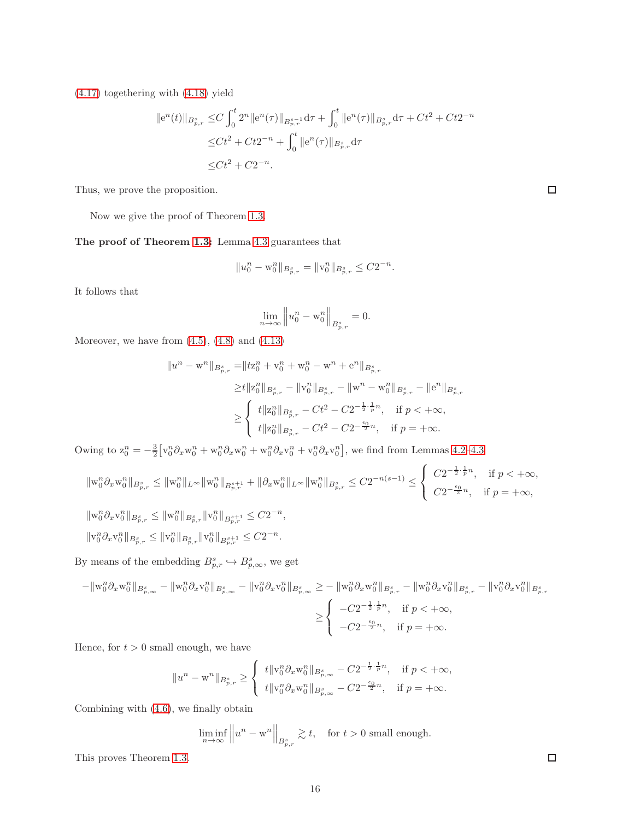[\(4.17\)](#page-14-2) togethering with [\(4.18\)](#page-14-3) yield

$$
||e^{n}(t)||_{B_{p,r}^{s}} \leq C \int_{0}^{t} 2^{n} ||e^{n}(\tau)||_{B_{p,r}^{s-1}} d\tau + \int_{0}^{t} ||e^{n}(\tau)||_{B_{p,r}^{s}} d\tau + Ct^{2} + Ct2^{-n}
$$
  

$$
\leq Ct^{2} + Ct2^{-n} + \int_{0}^{t} ||e^{n}(\tau)||_{B_{p,r}^{s}} d\tau
$$
  

$$
\leq Ct^{2} + C2^{-n}.
$$

Thus, we prove the proposition.

Now we give the proof of Theorem [1.3.](#page-3-2)

The proof of Theorem [1.3:](#page-3-2) Lemma [4.3](#page-11-4) guarantees that

$$
||u_0^n - \mathbf{w}_0^n||_{B_{p,r}^s} = ||\mathbf{v}_0^n||_{B_{p,r}^s} \leq C2^{-n}.
$$

It follows that

$$
\lim_{n \to \infty} \left\| u_0^n - \mathbf{w}_0^n \right\|_{B_{p,r}^s} = 0.
$$

Moreover, we have from  $(4.5)$ ,  $(4.8)$  and  $(4.13)$ 

$$
\begin{aligned}\n\|u^n - \mathbf{w}^n\|_{B_{p,r}^s} &= \|tz_0^n + \mathbf{v}_0^n + \mathbf{w}_0^n - \mathbf{w}^n + \mathbf{e}^n\|_{B_{p,r}^s} \\
&\geq & t \|z_0^n\|_{B_{p,r}^s} - \|\mathbf{v}_0^n\|_{B_{p,r}^s} - \|\mathbf{w}^n - \mathbf{w}_0^n\|_{B_{p,r}^s} - \|\mathbf{e}^n\|_{B_{p,r}^s} \\
&\geq & \left\{ \begin{array}{ll} t \|z_0^n\|_{B_{p,r}^s} - Ct^2 - C2^{-\frac{1}{2}\cdot\frac{1}{p}n}, & \text{if } p < +\infty, \\ t \|z_0^n\|_{B_{p,r}^s} - Ct^2 - C2^{-\frac{\epsilon_0}{2}n}, & \text{if } p = +\infty.\end{array} \right.\n\end{aligned}
$$

Owing to  $z_0^n = -\frac{3}{2} [v_0^n \partial_x w_0^n + w_0^n \partial_x w_0^n + w_0^n \partial_x v_0^n + v_0^n \partial_x v_0^n]$ , we find from Lemmas 4.2-[4.3](#page-11-4)

$$
\|\mathbf{w}_0^n\partial_x\mathbf{w}_0^n\|_{B_{p,r}^s}\leq \|\mathbf{w}_0^n\|_{L^\infty}\|\mathbf{w}_0^n\|_{B_{p,r}^{s+1}}+\|\partial_x\mathbf{w}_0^n\|_{L^\infty}\|\mathbf{w}_0^n\|_{B_{p,r}^s}\leq C2^{-n(s-1)}\leq \left\{\begin{array}{ll} C2^{-\frac{1}{2}\cdot\frac{1}{p}n}, & \text{if } p<+\infty, \\ C2^{-\frac{\epsilon_0}{2}n}, & \text{if } p=+\infty,\end{array}\right.
$$

$$
\begin{aligned} &\| \mathbf{w}_0^n \partial_x \mathbf{v}_0^n \|_{B_{p,r}^s} \leq \| \mathbf{w}_0^n \|_{B_{p,r}^s} \| \mathbf{v}_0^n \|_{B_{p,r}^{s+1}} \leq C 2^{-n}, \\ &\| \mathbf{v}_0^n \partial_x \mathbf{v}_0^n \|_{B_{p,r}^s} \leq \| \mathbf{v}_0^n \|_{B_{p,r}^s} \| \mathbf{v}_0^n \|_{B_{p,r}^{s+1}} \leq C 2^{-n}. \end{aligned}
$$

By means of the embedding  $B^s_{p,r} \hookrightarrow B^s_{p,\infty}$ , we get

$$
-\|\mathbf{w}_{0}^{n}\partial_{x}\mathbf{w}_{0}^{n}\|_{B_{p,\infty}^{s}} - \|\mathbf{w}_{0}^{n}\partial_{x}\mathbf{v}_{0}^{n}\|_{B_{p,\infty}^{s}} - \|\mathbf{v}_{0}^{n}\partial_{x}\mathbf{v}_{0}^{n}\|_{B_{p,\infty}^{s}} \ge -\|\mathbf{w}_{0}^{n}\partial_{x}\mathbf{w}_{0}^{n}\|_{B_{p,r}^{s}} - \|\mathbf{w}_{0}^{n}\partial_{x}\mathbf{v}_{0}^{n}\|_{B_{p,r}^{s}} - \|\mathbf{v}_{0}^{n}\partial_{x}\mathbf{v}_{0}^{n}\|_{B_{p,r}^{s}}
$$

$$
\ge \begin{cases} -C2^{-\frac{1}{2}\cdot\frac{1}{p}n}, & \text{if } p < +\infty, \\ -C2^{-\frac{\epsilon_{0}}{2}n}, & \text{if } p = +\infty. \end{cases}
$$

Hence, for  $t > 0$  small enough, we have

$$
\|u^n - \mathbf{w}^n\|_{B_{p,r}^s} \ge \left\{ \begin{array}{l} t \|\mathbf{v}_0^n \partial_x \mathbf{w}_0^n\|_{B_{p,\infty}^s} - C 2^{-\frac{1}{2} \cdot \frac{1}{p} n}, \quad \text{if } p < +\infty, \\[10pt] t \|\mathbf{v}_0^n \partial_x \mathbf{w}_0^n\|_{B_{p,\infty}^s} - C 2^{-\frac{\epsilon_0}{2} n}, \quad \text{if } p = +\infty. \end{array} \right.
$$

Combining with [\(4.6\)](#page-12-5), we finally obtain

 $\liminf_{n\to\infty}$  $\left\|u^{n}-\mathbf{w}^{n}\right\|_{B^{s}_{p,r}} \gtrsim t, \quad \text{for } t > 0 \text{ small enough.}$ 

This proves Theorem [1.3.](#page-3-2)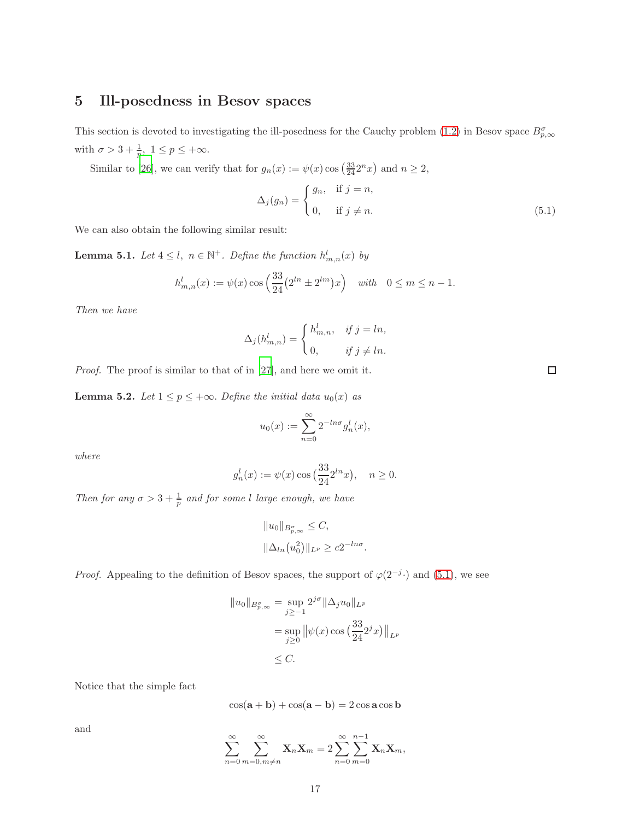## <span id="page-16-0"></span>5 Ill-posedness in Besov spaces

This section is devoted to investigating the ill-posedness for the Cauchy problem [\(1.2\)](#page-1-2) in Besov space  $B_{p,\infty}^{\sigma}$ with  $\sigma > 3 + \frac{1}{p}, 1 \le p \le +\infty$ .

<span id="page-16-1"></span>Similar to [\[26](#page-21-9)], we can verify that for  $g_n(x) := \psi(x) \cos\left(\frac{33}{24}2^n x\right)$  and  $n \ge 2$ ,

$$
\Delta_j(g_n) = \begin{cases} g_n, & \text{if } j = n, \\ 0, & \text{if } j \neq n. \end{cases}
$$
\n(5.1)

We can also obtain the following similar result:

<span id="page-16-2"></span>**Lemma 5.1.** *Let*  $4 \leq l$ ,  $n \in \mathbb{N}^+$ *. Define the function*  $h_{m,n}^l(x)$  *by* 

$$
h_{m,n}^l(x) := \psi(x) \cos\left(\frac{33}{24} (2^{ln} \pm 2^{lm}) x\right) \quad \text{with} \quad 0 \le m \le n-1.
$$

*Then we have*

$$
\Delta_j(h_{m,n}^l) = \begin{cases} h_{m,n}^l, & \text{if } j = ln, \\ 0, & \text{if } j \neq ln. \end{cases}
$$

*Proof.* The proof is similar to that of in [\[27\]](#page-21-13), and here we omit it.

<span id="page-16-3"></span>**Lemma 5.2.** *Let*  $1 \leq p \leq +\infty$ *. Define the initial data*  $u_0(x)$  *as* 

$$
u_0(x) := \sum_{n=0}^{\infty} 2^{-\ln \sigma} g_n^l(x),
$$

*where*

$$
g_n^l(x) := \psi(x) \cos\left(\frac{33}{24}2^{ln}x\right), \quad n \ge 0.
$$

*Then for any*  $\sigma > 3 + \frac{1}{p}$  *and for some l large enough, we have* 

$$
||u_0||_{B_{p,\infty}^{\sigma}} \leq C,
$$
  

$$
||\Delta_{ln}(u_0^2)||_{L^p} \geq c2^{-ln\sigma}.
$$

*Proof.* Appealing to the definition of Besov spaces, the support of  $\varphi(2^{-j} \cdot)$  and [\(5.1\)](#page-16-1), we see

$$
||u_0||_{B_{p,\infty}^{\sigma}} = \sup_{j\geq -1} 2^{j\sigma} ||\Delta_j u_0||_{L^p}
$$
  
= 
$$
\sup_{j\geq 0} ||\psi(x)\cos\left(\frac{33}{24}2^j x\right)||_{L^p}
$$
  

$$
\leq C.
$$

Notice that the simple fact

$$
\cos(\mathbf{a} + \mathbf{b}) + \cos(\mathbf{a} - \mathbf{b}) = 2\cos\mathbf{a}\cos\mathbf{b}
$$

and

$$
\sum_{n=0}^{\infty} \sum_{m=0,m \neq n}^{\infty} \mathbf{X}_n \mathbf{X}_m = 2 \sum_{n=0}^{\infty} \sum_{m=0}^{n-1} \mathbf{X}_n \mathbf{X}_m,
$$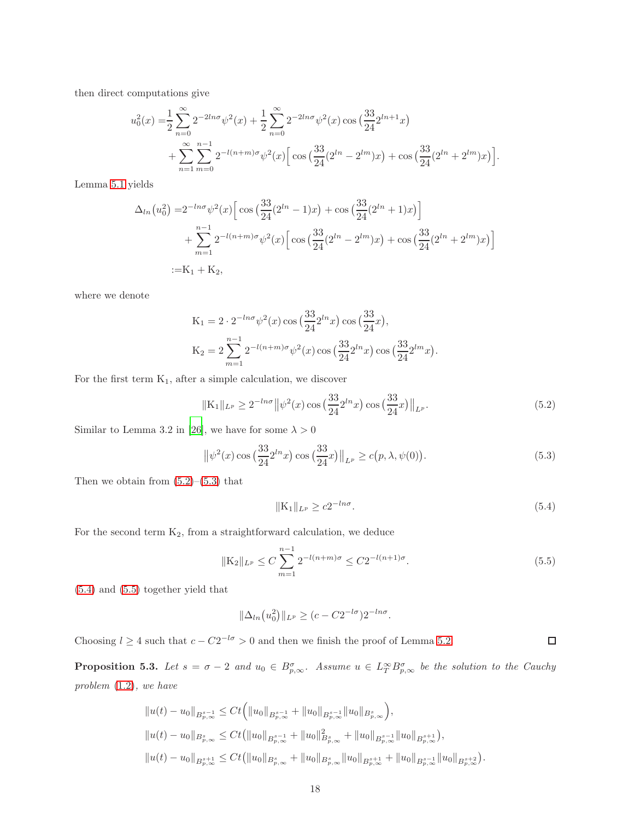then direct computations give

$$
u_0^2(x) = \frac{1}{2} \sum_{n=0}^{\infty} 2^{-2ln\sigma} \psi^2(x) + \frac{1}{2} \sum_{n=0}^{\infty} 2^{-2ln\sigma} \psi^2(x) \cos\left(\frac{33}{24} 2^{ln+1} x\right) + \sum_{n=1}^{\infty} \sum_{m=0}^{n-1} 2^{-l(n+m)\sigma} \psi^2(x) \Big[ \cos\left(\frac{33}{24} (2^{ln} - 2^{lm}) x\right) + \cos\left(\frac{33}{24} (2^{ln} + 2^{lm}) x\right) \Big].
$$

Lemma [5.1](#page-16-2) yields

$$
\Delta_{ln}(u_0^2) = 2^{-ln\sigma} \psi^2(x) \left[ \cos\left(\frac{33}{24}(2^{ln} - 1)x\right) + \cos\left(\frac{33}{24}(2^{ln} + 1)x\right) \right] + \sum_{m=1}^{n-1} 2^{-l(n+m)\sigma} \psi^2(x) \left[ \cos\left(\frac{33}{24}(2^{ln} - 2^{lm})x\right) + \cos\left(\frac{33}{24}(2^{ln} + 2^{lm})x\right) \right] := K_1 + K_2,
$$

where we denote

$$
K_1 = 2 \cdot 2^{-\ln \sigma} \psi^2(x) \cos\left(\frac{33}{24} 2^{\ln x}\right) \cos\left(\frac{33}{24} x\right),
$$
  
\n
$$
K_2 = 2 \sum_{m=1}^{n-1} 2^{-l(n+m)\sigma} \psi^2(x) \cos\left(\frac{33}{24} 2^{\ln x}\right) \cos\left(\frac{33}{24} 2^{\ln x}\right).
$$

For the first term  $K_1$ , after a simple calculation, we discover

$$
\|K_1\|_{L^p} \ge 2^{-\ln \sigma} \|\psi^2(x)\cos\left(\frac{33}{24}2^{\ln x}\right)\cos\left(\frac{33}{24}x\right)\|_{L^p}.\tag{5.2}
$$

Similar to Lemma 3.2 in [\[26\]](#page-21-9), we have for some  $\lambda > 0$ 

$$
\left\|\psi^{2}(x)\cos\left(\frac{33}{24}2^{ln}x\right)\cos\left(\frac{33}{24}x\right)\right\|_{L^{p}} \ge c(p,\lambda,\psi(0)).
$$
\n(5.3)

Then we obtain from  $(5.2)$ – $(5.3)$  that

$$
||K_1||_{L^p} \ge c2^{-ln\sigma}.
$$
\n(5.4)

<span id="page-17-3"></span><span id="page-17-2"></span><span id="page-17-1"></span><span id="page-17-0"></span> $\Box$ 

For the second term  $K_2$ , from a straightforward calculation, we deduce

$$
\|K_2\|_{L^p} \le C \sum_{m=1}^{n-1} 2^{-l(n+m)\sigma} \le C 2^{-l(n+1)\sigma}.
$$
\n(5.5)

[\(5.4\)](#page-17-2) and [\(5.5\)](#page-17-3) together yield that

$$
\|\Delta_{ln}(u_0^2)\|_{L^p} \ge (c - C2^{-l\sigma})2^{-ln\sigma}.
$$

Choosing  $l \geq 4$  such that  $c - C2^{-l\sigma} > 0$  and then we finish the proof of Lemma [5.2.](#page-16-3)

<span id="page-17-4"></span>**Proposition 5.3.** Let  $s = \sigma - 2$  and  $u_0 \in B^{\sigma}_{p,\infty}$ . Assume  $u \in L^{\infty}_{T} B^{\sigma}_{p,\infty}$  be the solution to the Cauchy *problem* [\(1.2\)](#page-1-2)*, we have*

$$
\|u(t) - u_0\|_{B^{s-1}_{p,\infty}} \leq Ct \Big( \|u_0\|_{B^{s-1}_{p,\infty}} + \|u_0\|_{B^{s-1}_{p,\infty}} \|u_0\|_{B^{s}_{p,\infty}} \Big),
$$
  

$$
\|u(t) - u_0\|_{B^{s}_{p,\infty}} \leq Ct (\|u_0\|_{B^{s-1}_{p,\infty}} + \|u_0\|_{B^{s}_{p,\infty}}^2 + \|u_0\|_{B^{s-1}_{p,\infty}} \|u_0\|_{B^{s+1}_{p,\infty}} ),
$$
  

$$
\|u(t) - u_0\|_{B^{s+1}_{p,\infty}} \leq Ct (\|u_0\|_{B^{s}_{p,\infty}} + \|u_0\|_{B^{s}_{p,\infty}} \|u_0\|_{B^{s+1}_{p,\infty}} + \|u_0\|_{B^{s-1}_{p,\infty}} \|u_0\|_{B^{s+2}_{p,\infty}} ).
$$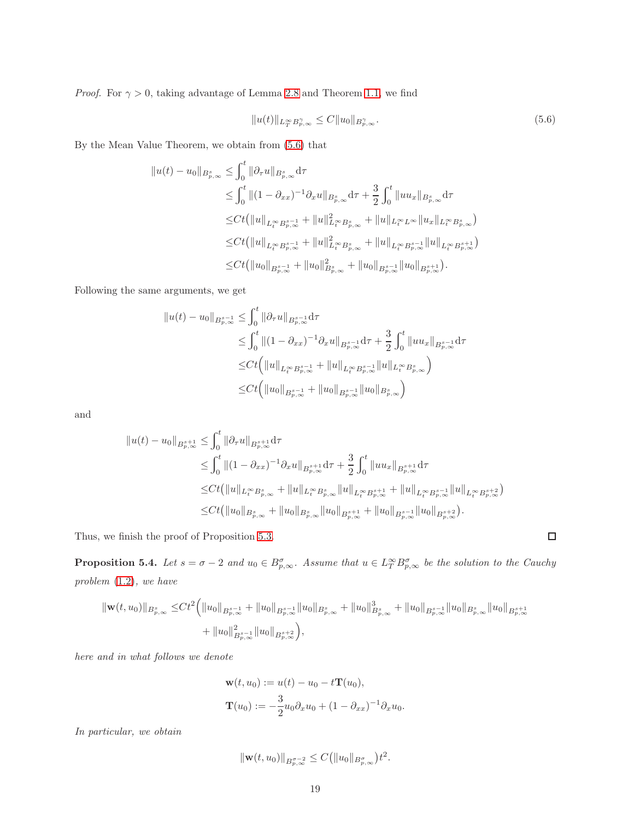*Proof.* For  $\gamma > 0$ , taking advantage of Lemma [2.8](#page-6-2) and Theorem [1.1,](#page-2-0) we find

<span id="page-18-0"></span>
$$
||u(t)||_{L^{\infty}_{T}B^{\gamma}_{p,\infty}} \leq C||u_0||_{B^{\gamma}_{p,\infty}}.
$$
\n(5.6)

By the Mean Value Theorem, we obtain from [\(5.6\)](#page-18-0) that

$$
\|u(t) - u_0\|_{B_{p,\infty}^s} \leq \int_0^t \|\partial_\tau u\|_{B_{p,\infty}^s} d\tau \n\leq \int_0^t \|(1 - \partial_{xx})^{-1}\partial_x u\|_{B_{p,\infty}^s} d\tau + \frac{3}{2} \int_0^t \|uu_x\|_{B_{p,\infty}^s} d\tau \n\leq Ct(\|u\|_{L_t^\infty B_{p,\infty}^{s-1}} + \|u\|_{L_t^\infty B_{p,\infty}^s}^2 + \|u\|_{L_t^\infty L^\infty} \|u_x\|_{L_t^\infty B_{p,\infty}^s}) \n\leq Ct(\|u\|_{L_t^\infty B_{p,\infty}^{s-1}} + \|u\|_{L_t^\infty B_{p,\infty}^s}^2 + \|u\|_{L_t^\infty B_{p,\infty}^{s-1}} \|u\|_{L_t^\infty B_{p,\infty}^{s+1}})
$$
\n
$$
\leq Ct(\|u_0\|_{B_{p,\infty}^{s-1}} + \|u_0\|_{B_{p,\infty}^s}^2 + \|u_0\|_{B_{p,\infty}^{s-1}} \|u_0\|_{B_{p,\infty}^{s+1}}).
$$

Following the same arguments, we get

$$
||u(t) - u_0||_{B_{p,\infty}^{s-1}} \leq \int_0^t ||\partial_\tau u||_{B_{p,\infty}^{s-1}} d\tau
$$
  
\n
$$
\leq \int_0^t ||(1 - \partial_{xx})^{-1} \partial_x u||_{B_{p,\infty}^{s-1}} d\tau + \frac{3}{2} \int_0^t ||uu_x||_{B_{p,\infty}^{s-1}} d\tau
$$
  
\n
$$
\leq Ct \Big( ||u||_{L_t^\infty B_{p,\infty}^{s-1}} + ||u||_{L_t^\infty B_{p,\infty}^{s-1}} ||u||_{L_t^\infty B_{p,\infty}^s} \Big)
$$
  
\n
$$
\leq Ct \Big( ||u_0||_{B_{p,\infty}^{s-1}} + ||u_0||_{B_{p,\infty}^{s-1}} ||u_0||_{B_{p,\infty}^s} \Big)
$$

and

$$
\|u(t) - u_0\|_{B^{s+1}_{p,\infty}} \leq \int_0^t \|\partial_\tau u\|_{B^{s+1}_{p,\infty}} d\tau
$$
  
\n
$$
\leq \int_0^t \|(1 - \partial_{xx})^{-1}\partial_x u\|_{B^{s+1}_{p,\infty}} d\tau + \frac{3}{2} \int_0^t \|uu_x\|_{B^{s+1}_{p,\infty}} d\tau
$$
  
\n
$$
\leq Ct (\|u\|_{L^\infty_t B^s_{p,\infty}} + \|u\|_{L^\infty_t B^s_{p,\infty}} \|u\|_{L^\infty_t B^{s+1}_{p,\infty}} + \|u\|_{L^\infty_t B^{s-1}_{p,\infty}} \|u\|_{L^\infty_t B^{s+2}_{p,\infty}})
$$
  
\n
$$
\leq Ct (\|u_0\|_{B^s_{p,\infty}} + \|u_0\|_{B^s_{p,\infty}} \|u_0\|_{B^{s+1}_{p,\infty}} + \|u_0\|_{B^{s-1}_{p,\infty}} \|u_0\|_{B^{s+2}_{p,\infty}}).
$$

Thus, we finish the proof of Proposition [5.3.](#page-17-4)

<span id="page-18-1"></span>**Proposition 5.4.** Let  $s = \sigma - 2$  and  $u_0 \in B_{p,\infty}^{\sigma}$ . Assume that  $u \in L_T^{\infty}B_{p,\infty}^{\sigma}$  be the solution to the Cauchy *problem* [\(1.2\)](#page-1-2)*, we have*

$$
\begin{split} \|\mathbf{w}(t,u_0)\|_{B^s_{p,\infty}} \leq & C t^2 \Big( \|u_0\|_{B^{s-1}_{p,\infty}} + \|u_0\|_{B^{s-1}_{p,\infty}} \|u_0\|_{B^s_{p,\infty}} + \|u_0\|_{B^{s}_{p,\infty}}^3 + \|u_0\|_{B^{s-1}_{p,\infty}} \|u_0\|_{B^{s+1}_{p,\infty}} \\ & + \|u_0\|_{B^{s-1}_{p,\infty}}^2 \|u_0\|_{B^{s+2}_{p,\infty}} \Big), \end{split}
$$

*here and in what follows we denote*

$$
\mathbf{w}(t, u_0) := u(t) - u_0 - t\mathbf{T}(u_0),
$$
  

$$
\mathbf{T}(u_0) := -\frac{3}{2}u_0\partial_x u_0 + (1 - \partial_{xx})^{-1}\partial_x u_0.
$$

*In particular, we obtain*

$$
\|\mathbf{w}(t,u_0)\|_{B^{\sigma-2}_{p,\infty}} \leq C(\|u_0\|_{B^{\sigma}_{p,\infty}})t^2.
$$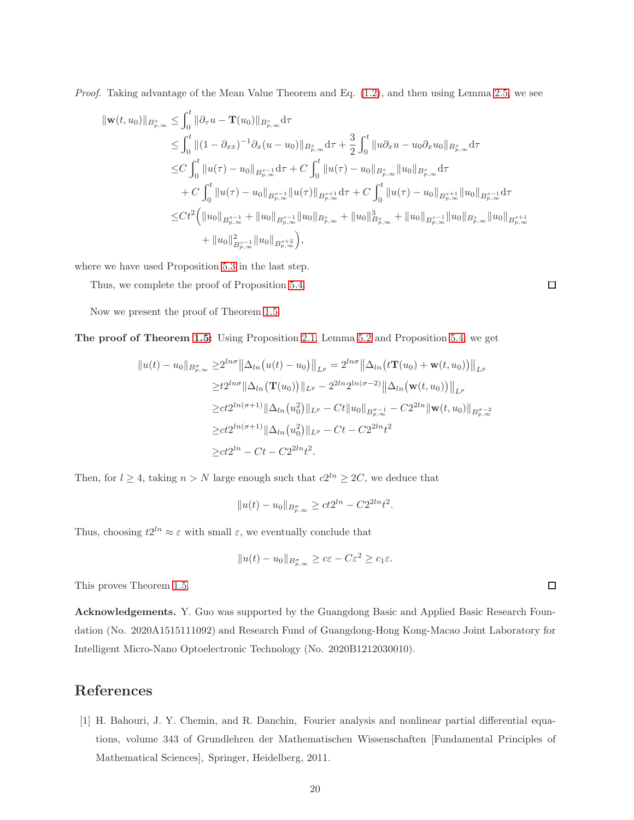*Proof.* Taking advantage of the Mean Value Theorem and Eq. [\(1.2\)](#page-1-2), and then using Lemma [2.5,](#page-5-0) we see

$$
\begin{split} \|\mathbf{w}(t,u_0)\|_{B^s_{p,\infty}} &\leq \int_0^t \|\partial_\tau u - \mathbf{T}(u_0)\|_{B^s_{p,\infty}} \mathrm{d}\tau \\ &\leq \int_0^t \|(1-\partial_{xx})^{-1}\partial_x (u-u_0)\|_{B^s_{p,\infty}} \mathrm{d}\tau + \frac{3}{2} \int_0^t \|u\partial_x u - u_0\partial_x u_0\|_{B^s_{p,\infty}} \mathrm{d}\tau \\ &\leq C \int_0^t \|u(\tau) - u_0\|_{B^{s-1}_{p,\infty}} \mathrm{d}\tau + C \int_0^t \|u(\tau) - u_0\|_{B^s_{p,\infty}} \|u_0\|_{B^s_{p,\infty}} \mathrm{d}\tau \\ &\quad + C \int_0^t \|u(\tau) - u_0\|_{B^{s-1}_{p,\infty}} \|u(\tau)\|_{B^{s+1}_{p,\infty}} \mathrm{d}\tau + C \int_0^t \|u(\tau) - u_0\|_{B^{s+1}_{p,\infty}} \|u_0\|_{B^{s-1}_{p,\infty}} \mathrm{d}\tau \\ &\leq C t^2 \Big( \|u_0\|_{B^{s-1}_{p,\infty}} + \|u_0\|_{B^{s-1}_{p,\infty}} \|u_0\|_{B^s_{p,\infty}} + \|u_0\|_{B^s_{p,\infty}}^3 + \|u_0\|_{B^{s-1}_{p,\infty}} \|u_0\|_{B^{s+1}_{p,\infty}} \\ &\quad + \|u_0\|_{B^{s-1}_{p,\infty}}^2 \|u_0\|_{B^{s+2}_{p,\infty}} \Big), \end{split}
$$

where we have used Proposition [5.3](#page-17-4) in the last step.

Thus, we complete the proof of Proposition [5.4.](#page-18-1)

Now we present the proof of Theorem [1.5.](#page-3-0)

The proof of Theorem [1.5:](#page-3-0) Using Proposition [2.1,](#page-4-1) Lemma [5.2](#page-16-3) and Proposition [5.4,](#page-18-1) we get

$$
||u(t) - u_0||_{B_{p,\infty}^{\sigma}} \ge 2^{ln\sigma} ||\Delta_{ln}(u(t) - u_0)||_{L^p} = 2^{ln\sigma} ||\Delta_{ln}(t\mathbf{T}(u_0) + \mathbf{w}(t, u_0))||_{L^p}
$$
  
\n
$$
\ge t2^{ln\sigma} ||\Delta_{ln}(\mathbf{T}(u_0))||_{L^p} - 2^{2ln}2^{ln(\sigma-2)} ||\Delta_{ln}(\mathbf{w}(t, u_0))||_{L^p}
$$
  
\n
$$
\ge ct2^{ln(\sigma+1)} ||\Delta_{ln}(u_0^2)||_{L^p} - Ct ||u_0||_{B_{p,\infty}^{\sigma-1}} - C2^{2ln} ||\mathbf{w}(t, u_0)||_{B_{p,\infty}^{\sigma-2}}
$$
  
\n
$$
\ge ct2^{ln(\sigma+1)} ||\Delta_{ln}(u_0^2)||_{L^p} - Ct - C2^{2ln}t^2
$$
  
\n
$$
\ge ct2^{ln} - Ct - C2^{2ln}t^2.
$$

Then, for  $l \geq 4$ , taking  $n > N$  large enough such that  $c2^{ln} \geq 2C$ , we deduce that

$$
||u(t) - u_0||_{B^{\sigma}_{p,\infty}} \ge ct2^{ln} - C2^{2ln}t^2.
$$

Thus, choosing  $t2^{ln} \approx \varepsilon$  with small  $\varepsilon$ , we eventually conclude that

$$
||u(t) - u_0||_{B^{\sigma}_{p,\infty}} \geq c\varepsilon - C\varepsilon^2 \geq c_1\varepsilon.
$$

This proves Theorem [1.5.](#page-3-0)

Acknowledgements. Y. Guo was supported by the Guangdong Basic and Applied Basic Research Foundation (No. 2020A1515111092) and Research Fund of Guangdong-Hong Kong-Macao Joint Laboratory for Intelligent Micro-Nano Optoelectronic Technology (No. 2020B1212030010).

## References

<span id="page-19-0"></span>[1] H. Bahouri, J. Y. Chemin, and R. Danchin, Fourier analysis and nonlinear partial differential equations, volume 343 of Grundlehren der Mathematischen Wissenschaften [Fundamental Principles of Mathematical Sciences], Springer, Heidelberg, 2011.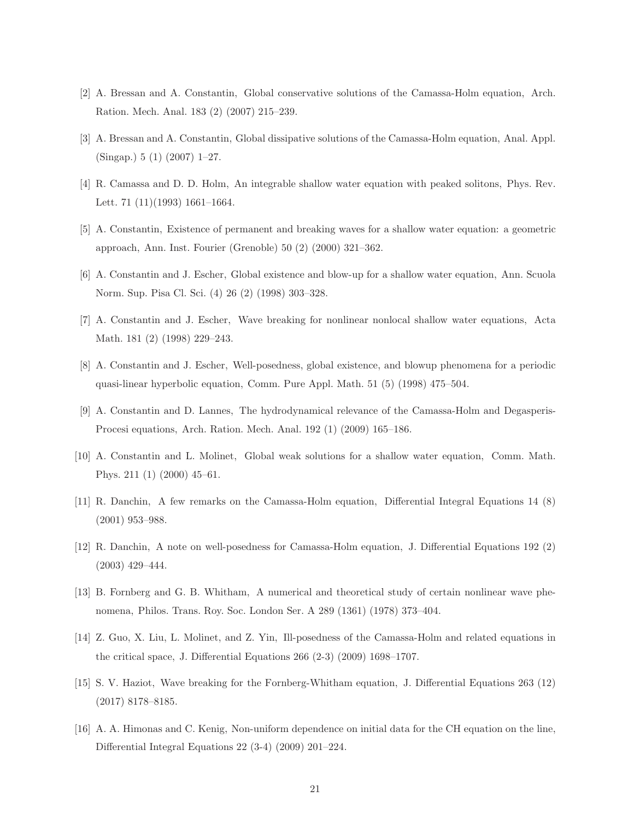- <span id="page-20-7"></span>[2] A. Bressan and A. Constantin, Global conservative solutions of the Camassa-Holm equation, Arch. Ration. Mech. Anal. 183 (2) (2007) 215–239.
- <span id="page-20-8"></span>[3] A. Bressan and A. Constantin, Global dissipative solutions of the Camassa-Holm equation, Anal. Appl. (Singap.) 5 (1) (2007) 1–27.
- <span id="page-20-1"></span>[4] R. Camassa and D. D. Holm, An integrable shallow water equation with peaked solitons, Phys. Rev. Lett. 71 (11)(1993) 1661–1664.
- <span id="page-20-9"></span>[5] A. Constantin, Existence of permanent and breaking waves for a shallow water equation: a geometric approach, Ann. Inst. Fourier (Grenoble) 50 (2) (2000) 321–362.
- [6] A. Constantin and J. Escher, Global existence and blow-up for a shallow water equation, Ann. Scuola Norm. Sup. Pisa Cl. Sci. (4) 26 (2) (1998) 303–328.
- [7] A. Constantin and J. Escher, Wave breaking for nonlinear nonlocal shallow water equations, Acta Math. 181 (2) (1998) 229–243.
- <span id="page-20-3"></span>[8] A. Constantin and J. Escher, Well-posedness, global existence, and blowup phenomena for a periodic quasi-linear hyperbolic equation, Comm. Pure Appl. Math. 51 (5) (1998) 475–504.
- <span id="page-20-2"></span>[9] A. Constantin and D. Lannes, The hydrodynamical relevance of the Camassa-Holm and Degasperis-Procesi equations, Arch. Ration. Mech. Anal. 192 (1) (2009) 165–186.
- <span id="page-20-10"></span>[10] A. Constantin and L. Molinet, Global weak solutions for a shallow water equation, Comm. Math. Phys. 211 (1) (2000) 45–61.
- <span id="page-20-4"></span>[11] R. Danchin, A few remarks on the Camassa-Holm equation, Differential Integral Equations 14 (8) (2001) 953–988.
- <span id="page-20-5"></span>[12] R. Danchin, A note on well-posedness for Camassa-Holm equation, J. Differential Equations 192 (2) (2003) 429–444.
- <span id="page-20-0"></span>[13] B. Fornberg and G. B. Whitham, A numerical and theoretical study of certain nonlinear wave phenomena, Philos. Trans. Roy. Soc. London Ser. A 289 (1361) (1978) 373–404.
- <span id="page-20-6"></span>[14] Z. Guo, X. Liu, L. Molinet, and Z. Yin, Ill-posedness of the Camassa-Holm and related equations in the critical space, J. Differential Equations 266 (2-3) (2009) 1698–1707.
- <span id="page-20-12"></span>[15] S. V. Haziot, Wave breaking for the Fornberg-Whitham equation, J. Differential Equations 263 (12) (2017) 8178–8185.
- <span id="page-20-11"></span>[16] A. A. Himonas and C. Kenig, Non-uniform dependence on initial data for the CH equation on the line, Differential Integral Equations 22 (3-4) (2009) 201–224.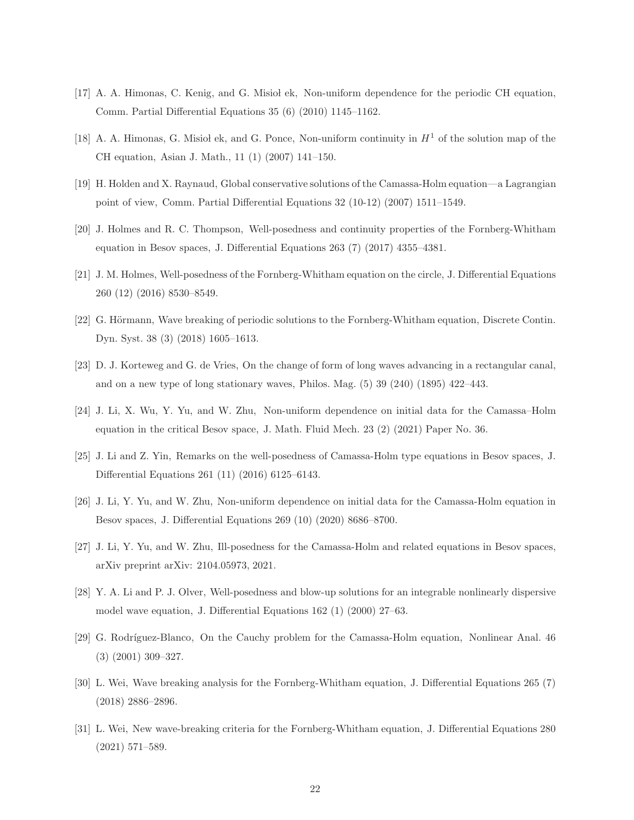- [17] A. A. Himonas, C. Kenig, and G. Misiol ek, Non-uniform dependence for the periodic CH equation, Comm. Partial Differential Equations 35 (6) (2010) 1145–1162.
- <span id="page-21-7"></span>[18] A. A. Himonas, G. Misiol ek, and G. Ponce, Non-uniform continuity in  $H<sup>1</sup>$  of the solution map of the CH equation, Asian J. Math., 11 (1) (2007) 141–150.
- <span id="page-21-6"></span>[19] H. Holden and X. Raynaud, Global conservative solutions of the Camassa-Holm equation—a Lagrangian point of view, Comm. Partial Differential Equations 32 (10-12) (2007) 1511–1549.
- <span id="page-21-0"></span>[20] J. Holmes and R. C. Thompson, Well-posedness and continuity properties of the Fornberg-Whitham equation in Besov spaces, J. Differential Equations 263 (7) (2017) 4355–4381.
- <span id="page-21-1"></span>[21] J. M. Holmes, Well-posedness of the Fornberg-Whitham equation on the circle, J. Differential Equations 260 (12) (2016) 8530–8549.
- <span id="page-21-10"></span>[22] G. Hörmann, Wave breaking of periodic solutions to the Fornberg-Whitham equation, Discrete Contin. Dyn. Syst. 38 (3) (2018) 1605–1613.
- <span id="page-21-2"></span>[23] D. J. Korteweg and G. de Vries, On the change of form of long waves advancing in a rectangular canal, and on a new type of long stationary waves, Philos. Mag. (5) 39 (240) (1895) 422–443.
- <span id="page-21-8"></span>[24] J. Li, X. Wu, Y. Yu, and W. Zhu, Non-uniform dependence on initial data for the Camassa–Holm equation in the critical Besov space, J. Math. Fluid Mech. 23 (2) (2021) Paper No. 36.
- <span id="page-21-3"></span>[25] J. Li and Z. Yin, Remarks on the well-posedness of Camassa-Holm type equations in Besov spaces, J. Differential Equations 261 (11) (2016) 6125–6143.
- <span id="page-21-9"></span>[26] J. Li, Y. Yu, and W. Zhu, Non-uniform dependence on initial data for the Camassa-Holm equation in Besov spaces, J. Differential Equations 269 (10) (2020) 8686–8700.
- <span id="page-21-13"></span>[27] J. Li, Y. Yu, and W. Zhu, Ill-posedness for the Camassa-Holm and related equations in Besov spaces, arXiv preprint arXiv: 2104.05973, 2021.
- <span id="page-21-4"></span>[28] Y. A. Li and P. J. Olver, Well-posedness and blow-up solutions for an integrable nonlinearly dispersive model wave equation, J. Differential Equations 162 (1) (2000) 27–63.
- <span id="page-21-5"></span>[29] G. Rodríguez-Blanco, On the Cauchy problem for the Camassa-Holm equation, Nonlinear Anal. 46 (3) (2001) 309–327.
- <span id="page-21-11"></span>[30] L. Wei, Wave breaking analysis for the Fornberg-Whitham equation, J. Differential Equations 265 (7) (2018) 2886–2896.
- <span id="page-21-12"></span>[31] L. Wei, New wave-breaking criteria for the Fornberg-Whitham equation, J. Differential Equations 280 (2021) 571–589.